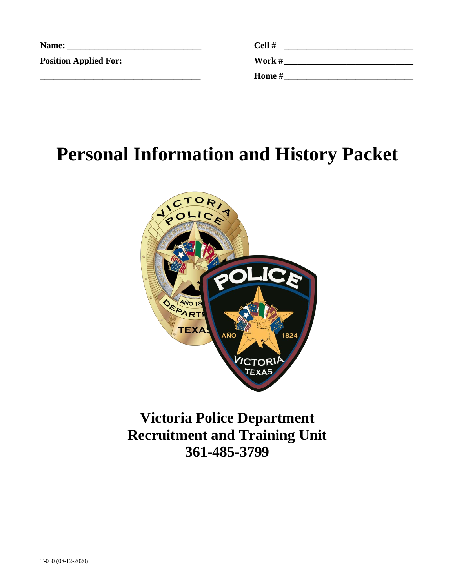| Name:                        | Cell # |
|------------------------------|--------|
| <b>Position Applied For:</b> | Work # |
|                              | Home # |

# **Personal Information and History Packet**



#### **Victoria Police Department Recruitment and Training Unit 361-485-3799**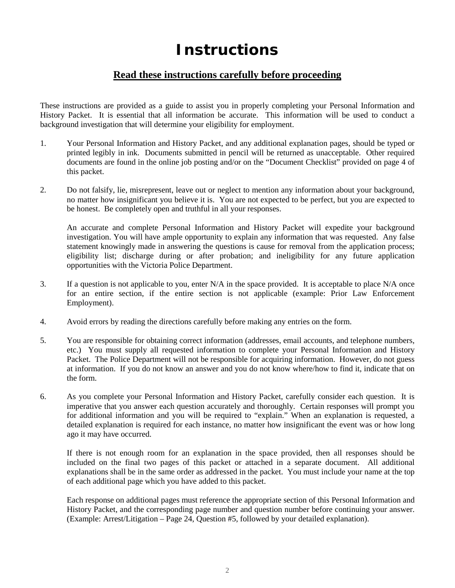#### **Instructions**

#### **Read these instructions carefully before proceeding**

These instructions are provided as a guide to assist you in properly completing your Personal Information and History Packet. It is essential that all information be accurate. This information will be used to conduct a background investigation that will determine your eligibility for employment.

- 1. Your Personal Information and History Packet, and any additional explanation pages, should be typed or printed legibly in ink. Documents submitted in pencil will be returned as unacceptable. Other required documents are found in the online job posting and/or on the "Document Checklist" provided on page 4 of this packet.
- 2. Do not falsify, lie, misrepresent, leave out or neglect to mention any information about your background, no matter how insignificant you believe it is. You are not expected to be perfect, but you are expected to be honest. Be completely open and truthful in all your responses.

An accurate and complete Personal Information and History Packet will expedite your background investigation. You will have ample opportunity to explain any information that was requested. Any false statement knowingly made in answering the questions is cause for removal from the application process; eligibility list; discharge during or after probation; and ineligibility for any future application opportunities with the Victoria Police Department.

- 3. If a question is not applicable to you, enter N/A in the space provided. It is acceptable to place N/A once for an entire section, if the entire section is not applicable (example: Prior Law Enforcement Employment).
- 4. Avoid errors by reading the directions carefully before making any entries on the form.
- 5. You are responsible for obtaining correct information (addresses, email accounts, and telephone numbers, etc.) You must supply all requested information to complete your Personal Information and History Packet. The Police Department will not be responsible for acquiring information. However, do not guess at information. If you do not know an answer and you do not know where/how to find it, indicate that on the form.
- 6. As you complete your Personal Information and History Packet, carefully consider each question. It is imperative that you answer each question accurately and thoroughly. Certain responses will prompt you for additional information and you will be required to "explain." When an explanation is requested, a detailed explanation is required for each instance, no matter how insignificant the event was or how long ago it may have occurred.

If there is not enough room for an explanation in the space provided, then all responses should be included on the final two pages of this packet or attached in a separate document. All additional explanations shall be in the same order as addressed in the packet. You must include your name at the top of each additional page which you have added to this packet.

Each response on additional pages must reference the appropriate section of this Personal Information and History Packet, and the corresponding page number and question number before continuing your answer. (Example: Arrest/Litigation – Page 24, Question #5, followed by your detailed explanation).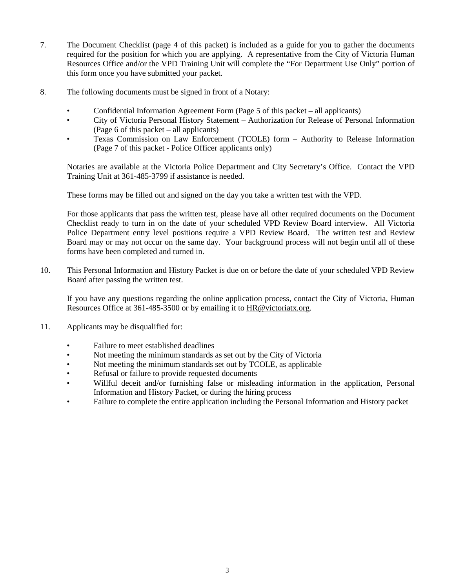- 7. The Document Checklist (page 4 of this packet) is included as a guide for you to gather the documents required for the position for which you are applying. A representative from the City of Victoria Human Resources Office and/or the VPD Training Unit will complete the "For Department Use Only" portion of this form once you have submitted your packet.
- 8. The following documents must be signed in front of a Notary:
	- Confidential Information Agreement Form (Page 5 of this packet all applicants)
	- City of Victoria Personal History Statement Authorization for Release of Personal Information (Page 6 of this packet – all applicants)
	- Texas Commission on Law Enforcement (TCOLE) form Authority to Release Information (Page 7 of this packet - Police Officer applicants only)

Notaries are available at the Victoria Police Department and City Secretary's Office. Contact the VPD Training Unit at 361-485-3799 if assistance is needed.

These forms may be filled out and signed on the day you take a written test with the VPD.

For those applicants that pass the written test, please have all other required documents on the Document Checklist ready to turn in on the date of your scheduled VPD Review Board interview. All Victoria Police Department entry level positions require a VPD Review Board. The written test and Review Board may or may not occur on the same day. Your background process will not begin until all of these forms have been completed and turned in.

10. This Personal Information and History Packet is due on or before the date of your scheduled VPD Review Board after passing the written test.

If you have any questions regarding the online application process, contact the City of Victoria, Human Resources Office at 361-485-3500 or by emailing it t[o HR@victoriatx.org.](mailto:HR@victoriatx.org)

- 11. Applicants may be disqualified for:
	- Failure to meet established deadlines
	- Not meeting the minimum standards as set out by the City of Victoria
	- Not meeting the minimum standards set out by TCOLE, as applicable
	- Refusal or failure to provide requested documents
	- Willful deceit and/or furnishing false or misleading information in the application, Personal Information and History Packet, or during the hiring process
	- Failure to complete the entire application including the Personal Information and History packet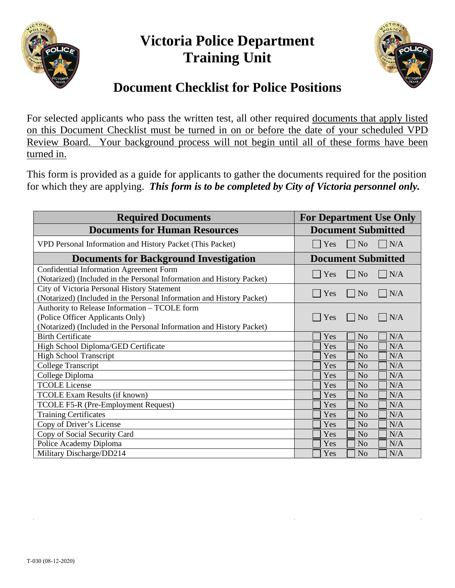

#### **Victoria Police Department Training Unit**



#### **Document Checklist for Police Positions**

For selected applicants who pass the written test, all other required documents that apply listed on this Document Checklist must be turned in on or before the date of your scheduled VPD Review Board. Your background process will not begin until all of these forms have been turned in.

This form is provided as a guide for applicants to gather the documents required for the position for which they are applying. *This form is to be completed by City of Victoria personnel only.*

| <b>Required Documents</b>                                                                                                                                  | <b>For Department Use Only</b>     |
|------------------------------------------------------------------------------------------------------------------------------------------------------------|------------------------------------|
| <b>Documents for Human Resources</b>                                                                                                                       | <b>Document Submitted</b>          |
| VPD Personal Information and History Packet (This Packet)                                                                                                  | $\Box$ No<br>$\Box$ N/A<br>$ $ Yes |
| <b>Documents for Background Investigation</b>                                                                                                              | <b>Document Submitted</b>          |
| <b>Confidential Information Agreement Form</b><br>(Notarized) (Included in the Personal Information and History Packet)                                    | $\vert$   No<br> N/A<br>$\Box$ Yes |
| City of Victoria Personal History Statement<br>(Notarized) (Included in the Personal Information and History Packet)                                       | N/A<br>$\Box$ No<br>Yes            |
| Authority to Release Information - TCOLE form<br>(Police Officer Applicants Only)<br>(Notarized) (Included in the Personal Information and History Packet) | N/A<br>Yes<br>N <sub>0</sub>       |
| <b>Birth Certificate</b>                                                                                                                                   | N/A<br>Yes<br>N <sub>o</sub>       |
| High School Diploma/GED Certificate                                                                                                                        | Yes<br>N <sub>o</sub><br>N/A       |
| <b>High School Transcript</b>                                                                                                                              | N/A<br>Yes<br>N <sub>o</sub>       |
| <b>College Transcript</b>                                                                                                                                  | N/A<br>Yes<br>N <sub>o</sub>       |
| College Diploma                                                                                                                                            | Yes<br>N <sub>o</sub><br>N/A       |
| <b>TCOLE License</b>                                                                                                                                       | Yes<br>N/A<br>N <sub>o</sub>       |
| <b>TCOLE Exam Results (if known)</b>                                                                                                                       | N/A<br>Yes<br>N <sub>o</sub>       |
| TCOLE F5-R (Pre-Employment Request)                                                                                                                        | Yes<br>N <sub>o</sub><br>N/A       |
| <b>Training Certificates</b>                                                                                                                               | Yes<br>N <sub>o</sub><br>N/A       |
| Copy of Driver's License                                                                                                                                   | N/A<br>Yes<br>N <sub>o</sub>       |
| Copy of Social Security Card                                                                                                                               | N/A<br>Yes<br>N <sub>o</sub>       |
| Police Academy Diploma                                                                                                                                     | N/A<br>Yes<br>N <sub>o</sub>       |
| Military Discharge/DD214                                                                                                                                   | Yes<br>N <sub>o</sub><br>N/A       |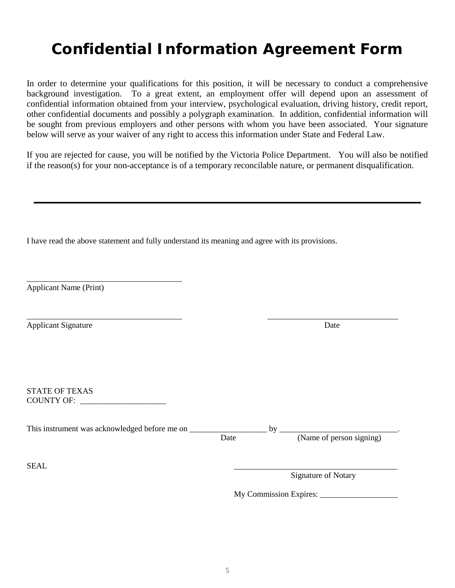### **Confidential Information Agreement Form**

In order to determine your qualifications for this position, it will be necessary to conduct a comprehensive background investigation. To a great extent, an employment offer will depend upon an assessment of confidential information obtained from your interview, psychological evaluation, driving history, credit report, other confidential documents and possibly a polygraph examination. In addition, confidential information will be sought from previous employers and other persons with whom you have been associated. Your signature below will serve as your waiver of any right to access this information under State and Federal Law.

If you are rejected for cause, you will be notified by the Victoria Police Department. You will also be notified if the reason(s) for your non-acceptance is of a temporary reconcilable nature, or permanent disqualification.

I have read the above statement and fully understand its meaning and agree with its provisions.

Applicant Name (Print)

\_\_\_\_\_\_\_\_\_\_\_\_\_\_\_\_\_\_\_\_\_\_\_\_\_\_\_\_\_\_\_\_\_\_\_\_\_\_

Applicant Signature Date **Date** 

STATE OF TEXAS COUNTY OF: \_\_\_\_\_\_\_\_\_\_\_\_\_\_\_\_\_\_\_\_\_

This instrument was acknowledged before me on \_\_\_\_\_\_\_\_\_\_\_\_\_\_\_\_\_\_\_ by \_\_\_\_\_\_\_\_\_\_\_\_\_\_\_\_\_\_\_\_\_\_\_\_\_\_\_\_\_. Date (Name of person signing)

\_\_\_\_\_\_\_\_\_\_\_\_\_\_\_\_\_\_\_\_\_\_\_\_\_\_\_\_\_\_\_\_\_\_\_\_\_\_ \_\_\_\_\_\_\_\_\_\_\_\_\_\_\_\_\_\_\_\_\_\_\_\_\_\_\_\_\_\_\_\_

 $SEAL$ Signature of Notary

My Commission Expires: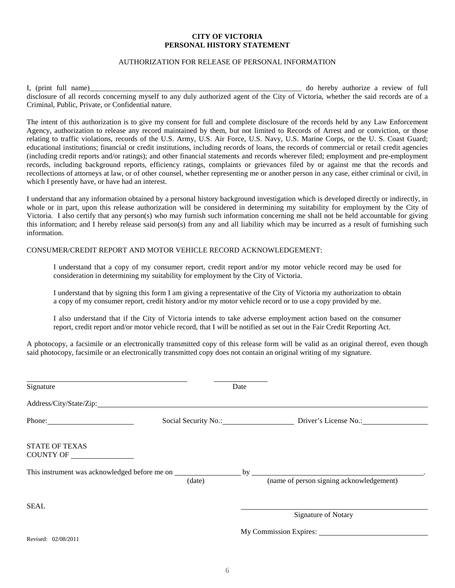#### **CITY OF VICTORIA PERSONAL HISTORY STATEMENT**

#### AUTHORIZATION FOR RELEASE OF PERSONAL INFORMATION

I, (print full name) do hereby authorize a review of full disclosure of all records concerning myself to any duly authorized agent of the City of Victoria, whether the said records are of a Criminal, Public, Private, or Confidential nature.

The intent of this authorization is to give my consent for full and complete disclosure of the records held by any Law Enforcement Agency, authorization to release any record maintained by them, but not limited to Records of Arrest and or conviction, or those relating to traffic violations, records of the U.S. Army, U.S. Air Force, U.S. Navy, U.S. Marine Corps, or the U. S. Coast Guard; educational institutions; financial or credit institutions, including records of loans, the records of commercial or retail credit agencies (including credit reports and/or ratings); and other financial statements and records wherever filed; employment and pre-employment records, including background reports, efficiency ratings, complaints or grievances filed by or against me that the records and recollections of attorneys at law, or of other counsel, whether representing me or another person in any case, either criminal or civil, in which I presently have, or have had an interest.

I understand that any information obtained by a personal history background investigation which is developed directly or indirectly, in whole or in part, upon this release authorization will be considered in determining my suitability for employment by the City of Victoria. I also certify that any person(s) who may furnish such information concerning me shall not be held accountable for giving this information; and I hereby release said person(s) from any and all liability which may be incurred as a result of furnishing such information.

#### CONSUMER/CREDIT REPORT AND MOTOR VEHICLE RECORD ACKNOWLEDGEMENT:

I understand that a copy of my consumer report, credit report and/or my motor vehicle record may be used for consideration in determining my suitability for employment by the City of Victoria.

I understand that by signing this form I am giving a representative of the City of Victoria my authorization to obtain a copy of my consumer report, credit history and/or my motor vehicle record or to use a copy provided by me.

I also understand that if the City of Victoria intends to take adverse employment action based on the consumer report, credit report and/or motor vehicle record, that I will be notified as set out in the Fair Credit Reporting Act.

A photocopy, a facsimile or an electronically transmitted copy of this release form will be valid as an original thereof, even though said photocopy, facsimile or an electronically transmitted copy does not contain an original writing of my signature.

| Signature                          | Date   |                                            |
|------------------------------------|--------|--------------------------------------------|
| Address/City/State/Zip:            |        |                                            |
| Phone: 2008                        |        | Social Security No.: Driver's License No.: |
| <b>STATE OF TEXAS</b><br>COUNTY OF |        |                                            |
|                                    | (data) | (name of person signing acknowledgement)   |
| <b>SEAL</b>                        |        | Signature of Notary                        |
| Revised: 02/08/2011                |        |                                            |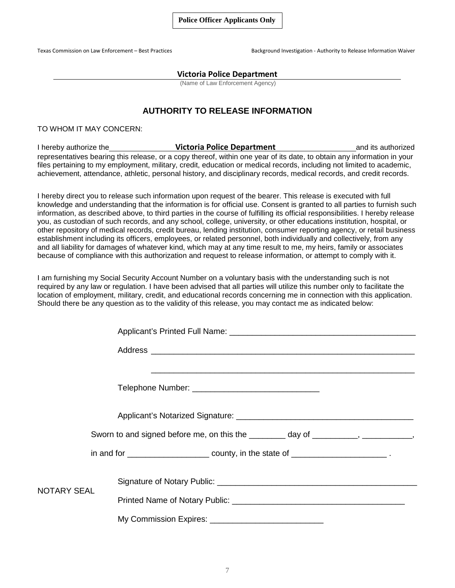Texas Commission on Law Enforcement – Best Practices Background Investigation - Authority to Release Information Waiver

#### **Victoria Police Department**

(Name of Law Enforcement Agency)

#### **AUTHORITY TO RELEASE INFORMATION**

TO WHOM IT MAY CONCERN:

I hereby authorize the **Victoria Police Department** and its authorized representatives bearing this release, or a copy thereof, within one year of its date, to obtain any information in your files pertaining to my employment, military, credit, education or medical records, including not limited to academic, achievement, attendance, athletic, personal history, and disciplinary records, medical records, and credit records.

I hereby direct you to release such information upon request of the bearer. This release is executed with full knowledge and understanding that the information is for official use. Consent is granted to all parties to furnish such information, as described above, to third parties in the course of fulfilling its official responsibilities. I hereby release you, as custodian of such records, and any school, college, university, or other educations institution, hospital, or other repository of medical records, credit bureau, lending institution, consumer reporting agency, or retail business establishment including its officers, employees, or related personnel, both individually and collectively, from any and all liability for damages of whatever kind, which may at any time result to me, my heirs, family or associates because of compliance with this authorization and request to release information, or attempt to comply with it.

I am furnishing my Social Security Account Number on a voluntary basis with the understanding such is not required by any law or regulation. I have been advised that all parties will utilize this number only to facilitate the location of employment, military, credit, and educational records concerning me in connection with this application. Should there be any question as to the validity of this release, you may contact me as indicated below:

|                    | Sworn to and signed before me, on this the ________ day of ________, _________, |  |  |  |
|--------------------|---------------------------------------------------------------------------------|--|--|--|
|                    |                                                                                 |  |  |  |
| <b>NOTARY SEAL</b> |                                                                                 |  |  |  |
|                    |                                                                                 |  |  |  |
|                    |                                                                                 |  |  |  |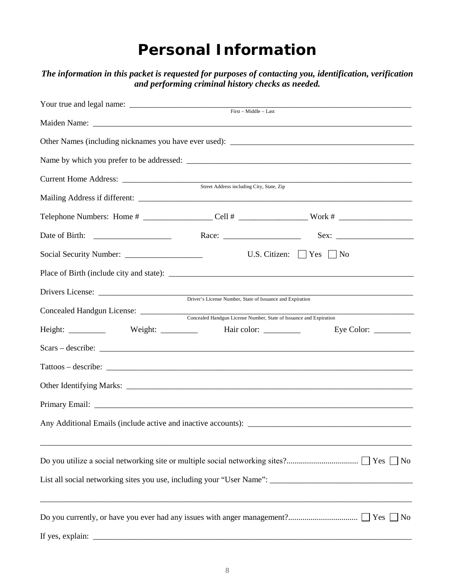#### **Personal Information**

| Current Home Address:<br>Street Address including City, State, Zip<br>U.S. Citizen: $\Box$ Yes $\Box$ No<br>Driver's License Number, State of Issuance and Expiration<br>Concealed Handgun License Number, State of Issuance and Expiration<br>Eye Color: $\_\_$<br>$Scars - describe:$ | and performing criminal history checks as needed. | The information in this packet is requested for purposes of contacting you, identification, verification |
|-----------------------------------------------------------------------------------------------------------------------------------------------------------------------------------------------------------------------------------------------------------------------------------------|---------------------------------------------------|----------------------------------------------------------------------------------------------------------|
|                                                                                                                                                                                                                                                                                         |                                                   |                                                                                                          |
|                                                                                                                                                                                                                                                                                         |                                                   |                                                                                                          |
|                                                                                                                                                                                                                                                                                         |                                                   |                                                                                                          |
|                                                                                                                                                                                                                                                                                         |                                                   |                                                                                                          |
|                                                                                                                                                                                                                                                                                         |                                                   |                                                                                                          |
|                                                                                                                                                                                                                                                                                         |                                                   |                                                                                                          |
|                                                                                                                                                                                                                                                                                         |                                                   |                                                                                                          |
|                                                                                                                                                                                                                                                                                         |                                                   |                                                                                                          |
|                                                                                                                                                                                                                                                                                         |                                                   |                                                                                                          |
|                                                                                                                                                                                                                                                                                         |                                                   |                                                                                                          |
|                                                                                                                                                                                                                                                                                         |                                                   |                                                                                                          |
|                                                                                                                                                                                                                                                                                         |                                                   |                                                                                                          |
|                                                                                                                                                                                                                                                                                         |                                                   |                                                                                                          |
|                                                                                                                                                                                                                                                                                         |                                                   |                                                                                                          |
|                                                                                                                                                                                                                                                                                         |                                                   |                                                                                                          |
|                                                                                                                                                                                                                                                                                         |                                                   |                                                                                                          |
|                                                                                                                                                                                                                                                                                         |                                                   |                                                                                                          |
|                                                                                                                                                                                                                                                                                         |                                                   |                                                                                                          |
|                                                                                                                                                                                                                                                                                         |                                                   |                                                                                                          |
|                                                                                                                                                                                                                                                                                         |                                                   |                                                                                                          |
|                                                                                                                                                                                                                                                                                         |                                                   |                                                                                                          |
|                                                                                                                                                                                                                                                                                         |                                                   |                                                                                                          |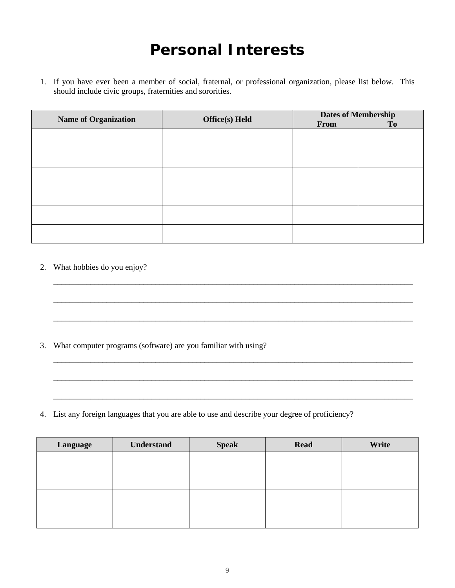### **Personal Interests**

1. If you have ever been a member of social, fraternal, or professional organization, please list below. This should include civic groups, fraternities and sororities.

| <b>Name of Organization</b> | <b>Office(s)</b> Held | From | <b>Dates of Membership</b><br>T <sub>0</sub> |
|-----------------------------|-----------------------|------|----------------------------------------------|
|                             |                       |      |                                              |
|                             |                       |      |                                              |
|                             |                       |      |                                              |
|                             |                       |      |                                              |
|                             |                       |      |                                              |
|                             |                       |      |                                              |

\_\_\_\_\_\_\_\_\_\_\_\_\_\_\_\_\_\_\_\_\_\_\_\_\_\_\_\_\_\_\_\_\_\_\_\_\_\_\_\_\_\_\_\_\_\_\_\_\_\_\_\_\_\_\_\_\_\_\_\_\_\_\_\_\_\_\_\_\_\_\_\_\_\_\_\_\_\_\_\_\_\_\_\_\_\_\_\_

\_\_\_\_\_\_\_\_\_\_\_\_\_\_\_\_\_\_\_\_\_\_\_\_\_\_\_\_\_\_\_\_\_\_\_\_\_\_\_\_\_\_\_\_\_\_\_\_\_\_\_\_\_\_\_\_\_\_\_\_\_\_\_\_\_\_\_\_\_\_\_\_\_\_\_\_\_\_\_\_\_\_\_\_\_\_\_\_

\_\_\_\_\_\_\_\_\_\_\_\_\_\_\_\_\_\_\_\_\_\_\_\_\_\_\_\_\_\_\_\_\_\_\_\_\_\_\_\_\_\_\_\_\_\_\_\_\_\_\_\_\_\_\_\_\_\_\_\_\_\_\_\_\_\_\_\_\_\_\_\_\_\_\_\_\_\_\_\_\_\_\_\_\_\_\_\_

\_\_\_\_\_\_\_\_\_\_\_\_\_\_\_\_\_\_\_\_\_\_\_\_\_\_\_\_\_\_\_\_\_\_\_\_\_\_\_\_\_\_\_\_\_\_\_\_\_\_\_\_\_\_\_\_\_\_\_\_\_\_\_\_\_\_\_\_\_\_\_\_\_\_\_\_\_\_\_\_\_\_\_\_\_\_\_\_

\_\_\_\_\_\_\_\_\_\_\_\_\_\_\_\_\_\_\_\_\_\_\_\_\_\_\_\_\_\_\_\_\_\_\_\_\_\_\_\_\_\_\_\_\_\_\_\_\_\_\_\_\_\_\_\_\_\_\_\_\_\_\_\_\_\_\_\_\_\_\_\_\_\_\_\_\_\_\_\_\_\_\_\_\_\_\_\_

\_\_\_\_\_\_\_\_\_\_\_\_\_\_\_\_\_\_\_\_\_\_\_\_\_\_\_\_\_\_\_\_\_\_\_\_\_\_\_\_\_\_\_\_\_\_\_\_\_\_\_\_\_\_\_\_\_\_\_\_\_\_\_\_\_\_\_\_\_\_\_\_\_\_\_\_\_\_\_\_\_\_\_\_\_\_\_\_

2. What hobbies do you enjoy?

3. What computer programs (software) are you familiar with using?

4. List any foreign languages that you are able to use and describe your degree of proficiency?

| Language | <b>Understand</b> | <b>Speak</b> | <b>Read</b> | Write |
|----------|-------------------|--------------|-------------|-------|
|          |                   |              |             |       |
|          |                   |              |             |       |
|          |                   |              |             |       |
|          |                   |              |             |       |
|          |                   |              |             |       |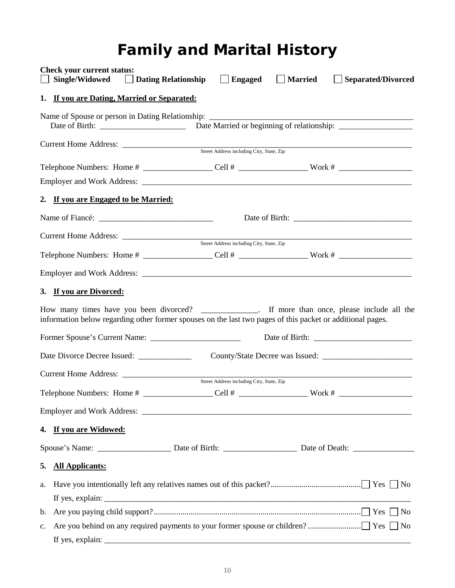# **Family and Marital History**

|                              | <b>Check your current status:</b><br>Single/Widowed | <b>Dating Relationship</b>                  | $\Box$ Engaged                            | Married | <b>Separated/Divorced</b><br>$\mathbf{I}$                                                                                                                                                                          |
|------------------------------|-----------------------------------------------------|---------------------------------------------|-------------------------------------------|---------|--------------------------------------------------------------------------------------------------------------------------------------------------------------------------------------------------------------------|
|                              |                                                     | 1. If you are Dating, Married or Separated: |                                           |         |                                                                                                                                                                                                                    |
|                              |                                                     |                                             |                                           |         |                                                                                                                                                                                                                    |
|                              |                                                     |                                             |                                           |         |                                                                                                                                                                                                                    |
|                              |                                                     |                                             |                                           |         | Telephone Numbers: Home # _____________________Cell # ________________________Work # _________________________                                                                                                     |
|                              |                                                     |                                             |                                           |         |                                                                                                                                                                                                                    |
|                              |                                                     | 2. If you are Engaged to be Married:        |                                           |         |                                                                                                                                                                                                                    |
|                              |                                                     |                                             |                                           |         |                                                                                                                                                                                                                    |
|                              |                                                     |                                             |                                           |         |                                                                                                                                                                                                                    |
|                              |                                                     |                                             | Street Address including City, State, Zip |         |                                                                                                                                                                                                                    |
|                              |                                                     |                                             |                                           |         |                                                                                                                                                                                                                    |
|                              | 3. If you are Divorced:                             |                                             |                                           |         |                                                                                                                                                                                                                    |
|                              |                                                     |                                             |                                           |         | How many times have you been divorced? __________________. If more than once, please include all the<br>information below regarding other former spouses on the last two pages of this packet or additional pages. |
|                              |                                                     | Date Divorce Decree Issued: ______________  |                                           |         |                                                                                                                                                                                                                    |
|                              |                                                     |                                             |                                           |         |                                                                                                                                                                                                                    |
|                              |                                                     |                                             |                                           |         |                                                                                                                                                                                                                    |
|                              |                                                     |                                             |                                           |         |                                                                                                                                                                                                                    |
|                              | 4. If you are Widowed:                              |                                             |                                           |         |                                                                                                                                                                                                                    |
|                              |                                                     |                                             |                                           |         |                                                                                                                                                                                                                    |
| <b>All Applicants:</b><br>5. |                                                     |                                             |                                           |         |                                                                                                                                                                                                                    |
| a.                           |                                                     |                                             |                                           |         |                                                                                                                                                                                                                    |
| b.                           |                                                     |                                             |                                           |         |                                                                                                                                                                                                                    |
| $\mathbf{c}$ .               |                                                     |                                             |                                           |         |                                                                                                                                                                                                                    |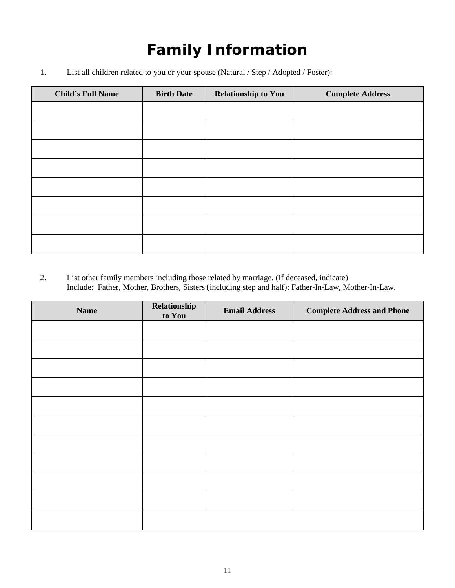# **Family Information**

1. List all children related to you or your spouse (Natural / Step / Adopted / Foster):

| <b>Child's Full Name</b> | <b>Birth Date</b> | <b>Relationship to You</b> | <b>Complete Address</b> |
|--------------------------|-------------------|----------------------------|-------------------------|
|                          |                   |                            |                         |
|                          |                   |                            |                         |
|                          |                   |                            |                         |
|                          |                   |                            |                         |
|                          |                   |                            |                         |
|                          |                   |                            |                         |
|                          |                   |                            |                         |
|                          |                   |                            |                         |

2. List other family members including those related by marriage. (If deceased, indicate) Include: Father, Mother, Brothers, Sisters (including step and half); Father-In-Law, Mother-In-Law.

| <b>Name</b> | Relationship<br>to You | <b>Email Address</b> | <b>Complete Address and Phone</b> |
|-------------|------------------------|----------------------|-----------------------------------|
|             |                        |                      |                                   |
|             |                        |                      |                                   |
|             |                        |                      |                                   |
|             |                        |                      |                                   |
|             |                        |                      |                                   |
|             |                        |                      |                                   |
|             |                        |                      |                                   |
|             |                        |                      |                                   |
|             |                        |                      |                                   |
|             |                        |                      |                                   |
|             |                        |                      |                                   |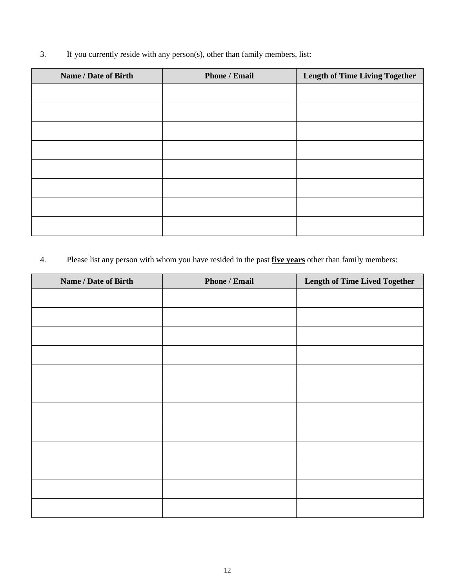3. If you currently reside with any person(s), other than family members, list:

| <b>Name / Date of Birth</b> | <b>Phone / Email</b> | <b>Length of Time Living Together</b> |
|-----------------------------|----------------------|---------------------------------------|
|                             |                      |                                       |
|                             |                      |                                       |
|                             |                      |                                       |
|                             |                      |                                       |
|                             |                      |                                       |
|                             |                      |                                       |
|                             |                      |                                       |
|                             |                      |                                       |

4. Please list any person with whom you have resided in the past **five years** other than family members:

| Name / Date of Birth | <b>Phone / Email</b> | <b>Length of Time Lived Together</b> |
|----------------------|----------------------|--------------------------------------|
|                      |                      |                                      |
|                      |                      |                                      |
|                      |                      |                                      |
|                      |                      |                                      |
|                      |                      |                                      |
|                      |                      |                                      |
|                      |                      |                                      |
|                      |                      |                                      |
|                      |                      |                                      |
|                      |                      |                                      |
|                      |                      |                                      |
|                      |                      |                                      |
|                      |                      |                                      |
|                      |                      |                                      |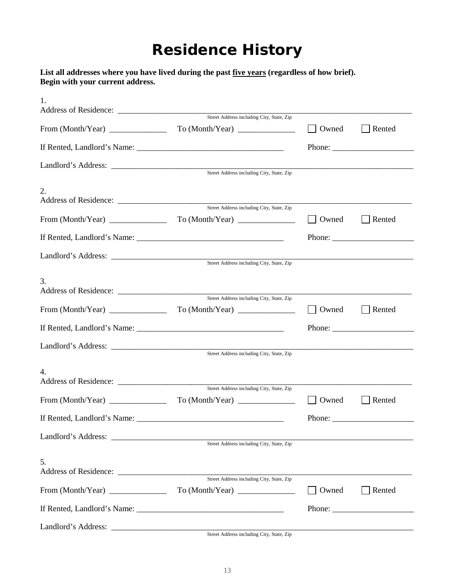## **Residence History**

**List all addresses where you have lived during the past five years (regardless of how brief). Begin with your current address.**

| 1.                |                                           |       |                                                           |
|-------------------|-------------------------------------------|-------|-----------------------------------------------------------|
|                   | Street Address including City, State, Zip |       |                                                           |
|                   | To (Month/Year)                           | Owned | Rented                                                    |
|                   |                                           |       |                                                           |
|                   |                                           |       |                                                           |
|                   |                                           |       |                                                           |
| 2.                | Street Address including City, State, Zip |       |                                                           |
|                   | To (Month/Year)                           | Owned | Rented                                                    |
|                   |                                           |       |                                                           |
|                   |                                           |       |                                                           |
|                   |                                           |       |                                                           |
|                   | Street Address including City, State, Zip |       |                                                           |
| 3.                |                                           |       |                                                           |
| From (Month/Year) | Street Address including City, State, Zip |       |                                                           |
|                   | To (Month/Year)                           | Owned | Rented                                                    |
|                   |                                           |       | Phone: $\frac{1}{\sqrt{1-\frac{1}{2}} \cdot \frac{1}{2}}$ |
|                   |                                           |       |                                                           |
|                   | Street Address including City, State, Zip |       |                                                           |
| 4.                | Street Address including City, State, Zip |       |                                                           |
|                   | To (Month/Year)                           | Owned | Rented                                                    |
|                   |                                           |       |                                                           |
|                   |                                           |       |                                                           |
|                   | Street Address including City, State, Zip |       |                                                           |
| 5.                |                                           |       |                                                           |
|                   | To (Month/Year)                           | Owned | Rented                                                    |
|                   |                                           |       |                                                           |
|                   |                                           |       |                                                           |
|                   |                                           |       |                                                           |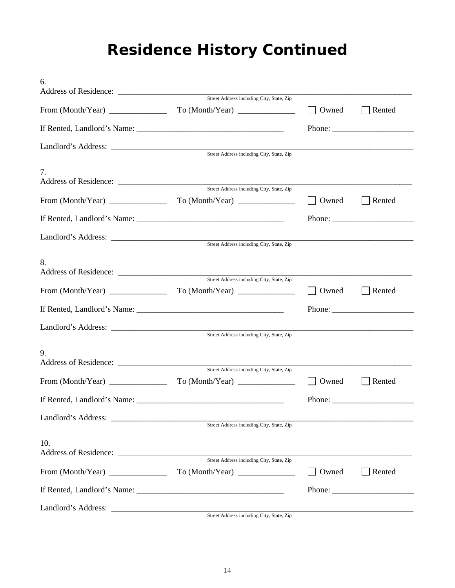# **Residence History Continued**

| Street Address including City, State, Zip |                                                                                                                                                                                                                                                                                                                                                                                    |                                                                                                                                                                                                                                                                                                                                                                                                              |
|-------------------------------------------|------------------------------------------------------------------------------------------------------------------------------------------------------------------------------------------------------------------------------------------------------------------------------------------------------------------------------------------------------------------------------------|--------------------------------------------------------------------------------------------------------------------------------------------------------------------------------------------------------------------------------------------------------------------------------------------------------------------------------------------------------------------------------------------------------------|
| To (Month/Year)                           | Owned                                                                                                                                                                                                                                                                                                                                                                              | Rented                                                                                                                                                                                                                                                                                                                                                                                                       |
|                                           |                                                                                                                                                                                                                                                                                                                                                                                    |                                                                                                                                                                                                                                                                                                                                                                                                              |
|                                           |                                                                                                                                                                                                                                                                                                                                                                                    |                                                                                                                                                                                                                                                                                                                                                                                                              |
|                                           |                                                                                                                                                                                                                                                                                                                                                                                    |                                                                                                                                                                                                                                                                                                                                                                                                              |
|                                           |                                                                                                                                                                                                                                                                                                                                                                                    |                                                                                                                                                                                                                                                                                                                                                                                                              |
|                                           | Owned                                                                                                                                                                                                                                                                                                                                                                              | Rented                                                                                                                                                                                                                                                                                                                                                                                                       |
|                                           |                                                                                                                                                                                                                                                                                                                                                                                    | Phone: $\frac{1}{\sqrt{1-\frac{1}{2}}\sqrt{1-\frac{1}{2}}\sqrt{1-\frac{1}{2}}\sqrt{1-\frac{1}{2}}\sqrt{1-\frac{1}{2}}\sqrt{1-\frac{1}{2}}\sqrt{1-\frac{1}{2}}\sqrt{1-\frac{1}{2}}\sqrt{1-\frac{1}{2}}\sqrt{1-\frac{1}{2}}\sqrt{1-\frac{1}{2}}\sqrt{1-\frac{1}{2}}\sqrt{1-\frac{1}{2}}\sqrt{1-\frac{1}{2}}\sqrt{1-\frac{1}{2}}\sqrt{1-\frac{1}{2}}\sqrt{1-\frac{1}{2}}\sqrt{1-\frac{1}{2}}\sqrt{1-\frac{1}{2$ |
|                                           |                                                                                                                                                                                                                                                                                                                                                                                    |                                                                                                                                                                                                                                                                                                                                                                                                              |
|                                           |                                                                                                                                                                                                                                                                                                                                                                                    |                                                                                                                                                                                                                                                                                                                                                                                                              |
|                                           |                                                                                                                                                                                                                                                                                                                                                                                    |                                                                                                                                                                                                                                                                                                                                                                                                              |
| To (Month/Year)                           | Owned                                                                                                                                                                                                                                                                                                                                                                              | Rented                                                                                                                                                                                                                                                                                                                                                                                                       |
|                                           |                                                                                                                                                                                                                                                                                                                                                                                    |                                                                                                                                                                                                                                                                                                                                                                                                              |
|                                           |                                                                                                                                                                                                                                                                                                                                                                                    |                                                                                                                                                                                                                                                                                                                                                                                                              |
|                                           |                                                                                                                                                                                                                                                                                                                                                                                    |                                                                                                                                                                                                                                                                                                                                                                                                              |
|                                           |                                                                                                                                                                                                                                                                                                                                                                                    |                                                                                                                                                                                                                                                                                                                                                                                                              |
| To (Month/Year)                           | Owned                                                                                                                                                                                                                                                                                                                                                                              | Rented                                                                                                                                                                                                                                                                                                                                                                                                       |
|                                           |                                                                                                                                                                                                                                                                                                                                                                                    |                                                                                                                                                                                                                                                                                                                                                                                                              |
|                                           |                                                                                                                                                                                                                                                                                                                                                                                    |                                                                                                                                                                                                                                                                                                                                                                                                              |
|                                           |                                                                                                                                                                                                                                                                                                                                                                                    |                                                                                                                                                                                                                                                                                                                                                                                                              |
|                                           |                                                                                                                                                                                                                                                                                                                                                                                    |                                                                                                                                                                                                                                                                                                                                                                                                              |
| Street Address including City, State, Zip |                                                                                                                                                                                                                                                                                                                                                                                    |                                                                                                                                                                                                                                                                                                                                                                                                              |
| To (Month/Year)                           | Owned                                                                                                                                                                                                                                                                                                                                                                              | Rented                                                                                                                                                                                                                                                                                                                                                                                                       |
|                                           |                                                                                                                                                                                                                                                                                                                                                                                    |                                                                                                                                                                                                                                                                                                                                                                                                              |
|                                           |                                                                                                                                                                                                                                                                                                                                                                                    |                                                                                                                                                                                                                                                                                                                                                                                                              |
|                                           | Street Address including City, State, Zip<br>Address of Residence:<br>Street Address including City, State, Zip<br>Street Address including City, State, Zip<br>Street Address including City, State, Zip<br>From $(Month/Year)$<br>If Rented, Landlord's Name:<br>Street Address including City, State, Zip<br>If Rented, Landlord's Name: University of Rented, Landlord's Name: |                                                                                                                                                                                                                                                                                                                                                                                                              |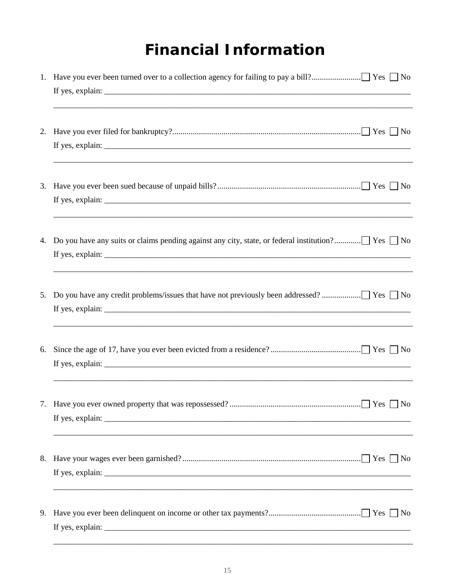## **Financial Information**

|    | <u> 1989 - Johann Barn, mars an t-Amerikaansk politiker (* 1989)</u>                                                                                                                                                                                                                                                                                                                                               |
|----|--------------------------------------------------------------------------------------------------------------------------------------------------------------------------------------------------------------------------------------------------------------------------------------------------------------------------------------------------------------------------------------------------------------------|
|    |                                                                                                                                                                                                                                                                                                                                                                                                                    |
|    |                                                                                                                                                                                                                                                                                                                                                                                                                    |
| 4. |                                                                                                                                                                                                                                                                                                                                                                                                                    |
| 5. |                                                                                                                                                                                                                                                                                                                                                                                                                    |
| 6. |                                                                                                                                                                                                                                                                                                                                                                                                                    |
|    |                                                                                                                                                                                                                                                                                                                                                                                                                    |
|    | If yes, explain: $\frac{1}{\sqrt{1-\frac{1}{\sqrt{1-\frac{1}{\sqrt{1-\frac{1}{\sqrt{1-\frac{1}{\sqrt{1-\frac{1}{\sqrt{1-\frac{1}{\sqrt{1-\frac{1}{\sqrt{1-\frac{1}{\sqrt{1-\frac{1}{\sqrt{1-\frac{1}{\sqrt{1-\frac{1}{\sqrt{1-\frac{1}{\sqrt{1-\frac{1}{\sqrt{1-\frac{1}{\sqrt{1-\frac{1}{\sqrt{1-\frac{1}{\sqrt{1-\frac{1}{\sqrt{1-\frac{1}{\sqrt{1-\frac{1}{\sqrt{1-\frac{1}{\sqrt{1-\frac{1}{\sqrt{1-\frac{1}{$ |
|    | If yes, explain: $\frac{1}{2}$ is the set of the set of the set of the set of the set of the set of the set of the set of the set of the set of the set of the set of the set of the set of the set of the set of the set of the                                                                                                                                                                                   |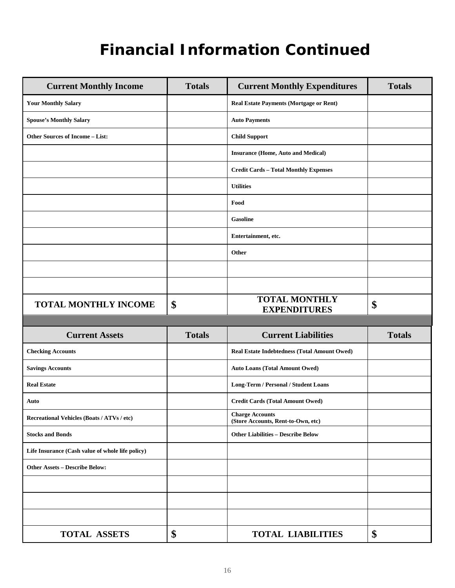## **Financial Information Continued**

| <b>Current Monthly Income</b>                    | <b>Totals</b> | <b>Current Monthly Expenditures</b>                          | <b>Totals</b> |
|--------------------------------------------------|---------------|--------------------------------------------------------------|---------------|
| <b>Your Monthly Salary</b>                       |               | Real Estate Payments (Mortgage or Rent)                      |               |
| <b>Spouse's Monthly Salary</b>                   |               | <b>Auto Payments</b>                                         |               |
| Other Sources of Income - List:                  |               | <b>Child Support</b>                                         |               |
|                                                  |               | <b>Insurance (Home, Auto and Medical)</b>                    |               |
|                                                  |               | <b>Credit Cards - Total Monthly Expenses</b>                 |               |
|                                                  |               | <b>Utilities</b>                                             |               |
|                                                  |               | Food                                                         |               |
|                                                  |               | <b>Gasoline</b>                                              |               |
|                                                  |               | Entertainment, etc.                                          |               |
|                                                  |               | Other                                                        |               |
|                                                  |               |                                                              |               |
|                                                  |               |                                                              |               |
| <b>TOTAL MONTHLY INCOME</b>                      | \$            | <b>TOTAL MONTHLY</b><br><b>EXPENDITURES</b>                  | \$            |
|                                                  |               |                                                              |               |
| <b>Current Assets</b>                            | <b>Totals</b> | <b>Current Liabilities</b>                                   | <b>Totals</b> |
| <b>Checking Accounts</b>                         |               | Real Estate Indebtedness (Total Amount Owed)                 |               |
| <b>Savings Accounts</b>                          |               | <b>Auto Loans (Total Amount Owed)</b>                        |               |
| <b>Real Estate</b>                               |               | Long-Term / Personal / Student Loans                         |               |
| Auto                                             |               | <b>Credit Cards (Total Amount Owed)</b>                      |               |
| Recreational Vehicles (Boats / ATVs / etc)       |               | <b>Charge Accounts</b><br>(Store Accounts, Rent-to-Own, etc) |               |
| <b>Stocks and Bonds</b>                          |               | <b>Other Liabilities - Describe Below</b>                    |               |
| Life Insurance (Cash value of whole life policy) |               |                                                              |               |
| <b>Other Assets - Describe Below:</b>            |               |                                                              |               |
|                                                  |               |                                                              |               |
|                                                  |               |                                                              |               |
|                                                  |               |                                                              |               |
| <b>TOTAL ASSETS</b>                              | \$            | <b>TOTAL LIABILITIES</b>                                     | \$            |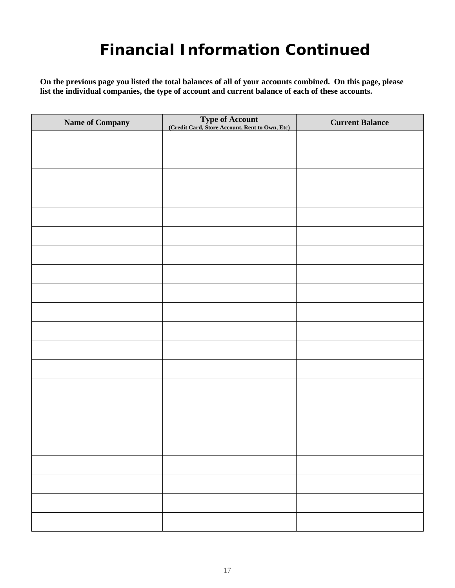## **Financial Information Continued**

**On the previous page you listed the total balances of all of your accounts combined. On this page, please list the individual companies, the type of account and current balance of each of these accounts.**

| Name of Company | Type of Account<br>(Credit Card, Store Account, Rent to Own, Etc) | <b>Current Balance</b> |
|-----------------|-------------------------------------------------------------------|------------------------|
|                 |                                                                   |                        |
|                 |                                                                   |                        |
|                 |                                                                   |                        |
|                 |                                                                   |                        |
|                 |                                                                   |                        |
|                 |                                                                   |                        |
|                 |                                                                   |                        |
|                 |                                                                   |                        |
|                 |                                                                   |                        |
|                 |                                                                   |                        |
|                 |                                                                   |                        |
|                 |                                                                   |                        |
|                 |                                                                   |                        |
|                 |                                                                   |                        |
|                 |                                                                   |                        |
|                 |                                                                   |                        |
|                 |                                                                   |                        |
|                 |                                                                   |                        |
|                 |                                                                   |                        |
|                 |                                                                   |                        |
|                 |                                                                   |                        |
|                 |                                                                   |                        |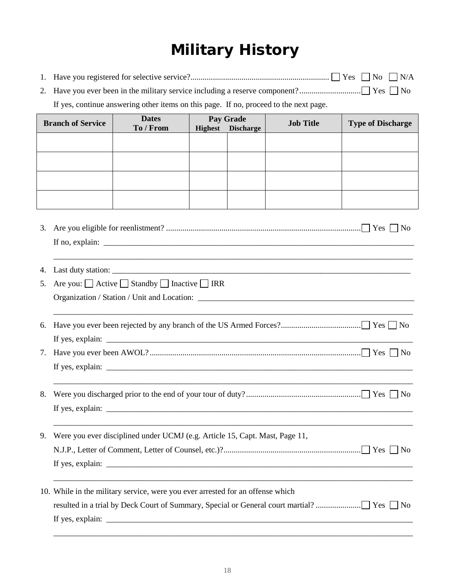# **Military History**

| 1.                       |                                      |                                                                                       |                                                                                                                      | $\blacksquare$ No<br>$\neg N/A$ |
|--------------------------|--------------------------------------|---------------------------------------------------------------------------------------|----------------------------------------------------------------------------------------------------------------------|---------------------------------|
| 2.                       |                                      |                                                                                       |                                                                                                                      |                                 |
|                          |                                      | If yes, continue answering other items on this page. If no, proceed to the next page. |                                                                                                                      |                                 |
| <b>Branch of Service</b> | <b>Dates</b><br>To / From            | Pay Grade<br><b>Discharge</b><br><b>Highest</b>                                       | <b>Job Title</b>                                                                                                     | <b>Type of Discharge</b>        |
|                          |                                      |                                                                                       |                                                                                                                      |                                 |
|                          |                                      |                                                                                       |                                                                                                                      |                                 |
|                          |                                      |                                                                                       |                                                                                                                      |                                 |
|                          |                                      |                                                                                       |                                                                                                                      |                                 |
|                          |                                      |                                                                                       |                                                                                                                      |                                 |
|                          |                                      |                                                                                       |                                                                                                                      |                                 |
| 3.                       |                                      |                                                                                       |                                                                                                                      |                                 |
|                          |                                      |                                                                                       |                                                                                                                      |                                 |
|                          |                                      |                                                                                       |                                                                                                                      |                                 |
| 4.                       |                                      |                                                                                       |                                                                                                                      |                                 |
| 5.                       | Are you: Active Standby Inactive IRR |                                                                                       |                                                                                                                      |                                 |
|                          |                                      |                                                                                       |                                                                                                                      |                                 |
|                          |                                      |                                                                                       |                                                                                                                      |                                 |
| 6.                       |                                      |                                                                                       |                                                                                                                      |                                 |
|                          |                                      |                                                                                       |                                                                                                                      |                                 |
| 7.                       |                                      |                                                                                       |                                                                                                                      |                                 |
|                          |                                      |                                                                                       |                                                                                                                      |                                 |
| 8.                       |                                      |                                                                                       |                                                                                                                      |                                 |
|                          |                                      | If yes, explain:                                                                      |                                                                                                                      |                                 |
|                          |                                      |                                                                                       |                                                                                                                      |                                 |
| 9.                       |                                      | Were you ever disciplined under UCMJ (e.g. Article 15, Capt. Mast, Page 11,           |                                                                                                                      |                                 |
|                          |                                      |                                                                                       |                                                                                                                      |                                 |
|                          |                                      |                                                                                       |                                                                                                                      |                                 |
|                          |                                      | 10. While in the military service, were you ever arrested for an offense which        | <u> 1989 - Johann John Harry, mars ar yw i gweledd y cynnwys y gan y gan y gan y gan y gan y gan y gan y gan y g</u> |                                 |
|                          |                                      |                                                                                       |                                                                                                                      |                                 |
|                          |                                      | If yes, explain: $\sqrt{ }$                                                           |                                                                                                                      |                                 |
|                          |                                      |                                                                                       |                                                                                                                      |                                 |

\_\_\_\_\_\_\_\_\_\_\_\_\_\_\_\_\_\_\_\_\_\_\_\_\_\_\_\_\_\_\_\_\_\_\_\_\_\_\_\_\_\_\_\_\_\_\_\_\_\_\_\_\_\_\_\_\_\_\_\_\_\_\_\_\_\_\_\_\_\_\_\_\_\_\_\_\_\_\_\_\_\_\_\_\_\_\_\_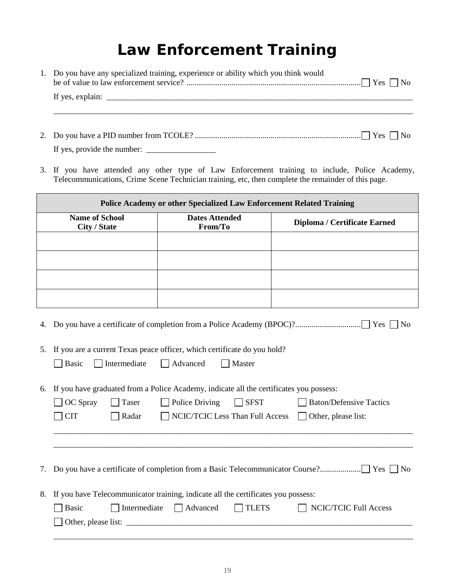#### **Law Enforcement Training**

| 1. Do you have any specialized training, experience or ability which you think would |
|--------------------------------------------------------------------------------------|
|                                                                                      |
|                                                                                      |
|                                                                                      |
|                                                                                      |
|                                                                                      |

3. If you have attended any other type of Law Enforcement training to include, Police Academy, Telecommunications, Crime Scene Technician training, etc, then complete the remainder of this page.

| Police Academy or other Specialized Law Enforcement Related Training |                                  |                              |  |  |  |
|----------------------------------------------------------------------|----------------------------------|------------------------------|--|--|--|
| <b>Name of School</b><br>City / State                                | <b>Dates Attended</b><br>From/To | Diploma / Certificate Earned |  |  |  |
|                                                                      |                                  |                              |  |  |  |
|                                                                      |                                  |                              |  |  |  |
|                                                                      |                                  |                              |  |  |  |
|                                                                      |                                  |                              |  |  |  |

- 4. Do you have a certificate of completion from a Police Academy (BPOC)? ................................ Yes No
- 5. If you are a current Texas peace officer, which certificate do you hold?

| $\Box$ Intermediate<br>$\Box$ Basic<br>$\Box$ Advanced | Master |
|--------------------------------------------------------|--------|
|--------------------------------------------------------|--------|

6. If you have graduated from a Police Academy, indicate all the certificates you possess:

| $\Box$ OC Spray $\Box$ Taser | $\Box$ Police Driving $\Box$ SFST | Baton/Defensive Tactics |
|------------------------------|-----------------------------------|-------------------------|
|                              |                                   |                         |

\_\_\_\_\_\_\_\_\_\_\_\_\_\_\_\_\_\_\_\_\_\_\_\_\_\_\_\_\_\_\_\_\_\_\_\_\_\_\_\_\_\_\_\_\_\_\_\_\_\_\_\_\_\_\_\_\_\_\_\_\_\_\_\_\_\_\_\_\_\_\_\_\_\_\_\_\_\_\_\_\_\_\_\_\_\_\_\_ \_\_\_\_\_\_\_\_\_\_\_\_\_\_\_\_\_\_\_\_\_\_\_\_\_\_\_\_\_\_\_\_\_\_\_\_\_\_\_\_\_\_\_\_\_\_\_\_\_\_\_\_\_\_\_\_\_\_\_\_\_\_\_\_\_\_\_\_\_\_\_\_\_\_\_\_\_\_\_\_\_\_\_\_\_\_\_\_

| $\Box$ CIT | $\Box$ Radar |  |  | $\Box$ NCIC/TCIC Less Than Full Access $\Box$ Other, please list: |
|------------|--------------|--|--|-------------------------------------------------------------------|
|------------|--------------|--|--|-------------------------------------------------------------------|

|--|--|--|--|--|--|--|

8. If you have Telecommunicator training, indicate all the certificates you possess:

| Basic                      | Intermediate     Advanced | TLETS | NCIC/TCIC Full Access |
|----------------------------|---------------------------|-------|-----------------------|
| $\Box$ Other, please list: |                           |       |                       |
|                            |                           |       |                       |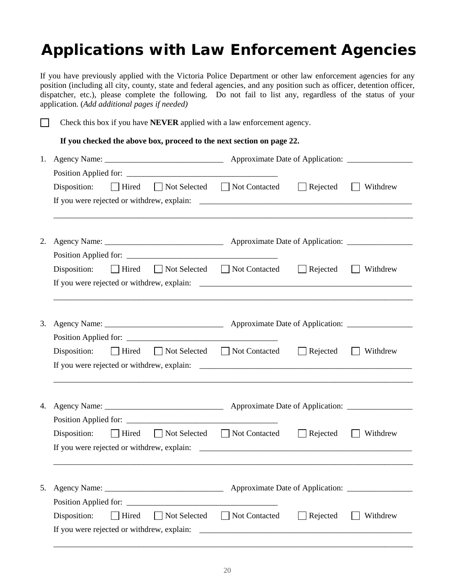## **Applications with Law Enforcement Agencies**

If you have previously applied with the Victoria Police Department or other law enforcement agencies for any position (including all city, county, state and federal agencies, and any position such as officer, detention officer, dispatcher, etc.), please complete the following. Do not fail to list any, regardless of the status of your application. (*Add additional pages if needed)* 

П Check this box if you have **NEVER** applied with a law enforcement agency.

**If you checked the above box, proceed to the next section on page 22.** 

|    | Disposition: $\Box$ Hired $\Box$ Not Selected $\Box$ Not Contacted $\Box$ Rejected $\Box$ Withdrew |  |  |
|----|----------------------------------------------------------------------------------------------------|--|--|
|    |                                                                                                    |  |  |
|    |                                                                                                    |  |  |
|    |                                                                                                    |  |  |
| 2. |                                                                                                    |  |  |
|    |                                                                                                    |  |  |
|    | Disposition: $\Box$ Hired $\Box$ Not Selected $\Box$ Not Contacted $\Box$ Rejected $\Box$ Withdrew |  |  |
|    |                                                                                                    |  |  |
|    |                                                                                                    |  |  |
|    |                                                                                                    |  |  |
|    |                                                                                                    |  |  |
|    |                                                                                                    |  |  |
|    | Disposition: $\Box$ Hired $\Box$ Not Selected $\Box$ Not Contacted $\Box$ Rejected $\Box$ Withdrew |  |  |
|    |                                                                                                    |  |  |
|    |                                                                                                    |  |  |
|    |                                                                                                    |  |  |
|    |                                                                                                    |  |  |
|    |                                                                                                    |  |  |
|    | Disposition: $\Box$ Hired $\Box$ Not Selected $\Box$ Not Contacted $\Box$ Rejected $\Box$ Withdrew |  |  |
|    |                                                                                                    |  |  |
|    |                                                                                                    |  |  |
|    |                                                                                                    |  |  |
|    |                                                                                                    |  |  |
|    |                                                                                                    |  |  |
|    | Disposition: $\Box$ Hired $\Box$ Not Selected $\Box$ Not Contacted $\Box$ Rejected $\Box$ Withdrew |  |  |
|    |                                                                                                    |  |  |

\_\_\_\_\_\_\_\_\_\_\_\_\_\_\_\_\_\_\_\_\_\_\_\_\_\_\_\_\_\_\_\_\_\_\_\_\_\_\_\_\_\_\_\_\_\_\_\_\_\_\_\_\_\_\_\_\_\_\_\_\_\_\_\_\_\_\_\_\_\_\_\_\_\_\_\_\_\_\_\_\_\_\_\_\_\_\_\_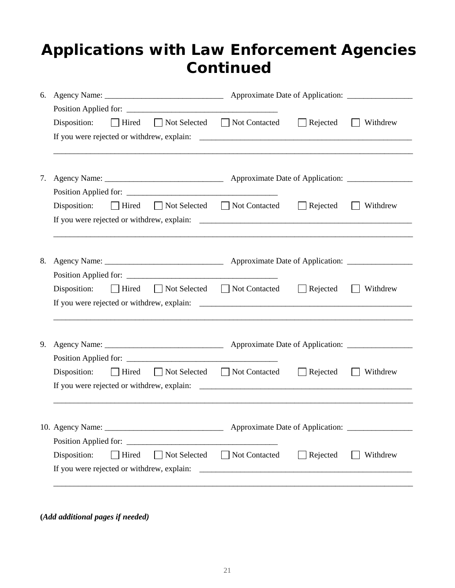#### **Applications with Law Enforcement Agencies Continued**

| 6. |                                                                                                    |                            |                 |                          |
|----|----------------------------------------------------------------------------------------------------|----------------------------|-----------------|--------------------------|
|    |                                                                                                    |                            |                 |                          |
|    | Disposition: $\Box$ Hired $\Box$ Not Selected $\Box$ Not Contacted                                 |                            | $\Box$ Rejected | Withdrew<br>$\mathbf{L}$ |
|    |                                                                                                    |                            |                 |                          |
|    |                                                                                                    |                            |                 |                          |
|    |                                                                                                    |                            |                 |                          |
| 7. |                                                                                                    |                            |                 |                          |
|    |                                                                                                    |                            |                 |                          |
|    | Disposition: $\Box$ Hired $\Box$ Not Selected $\Box$ Not Contacted $\Box$ Rejected $\Box$ Withdrew |                            |                 |                          |
|    |                                                                                                    |                            |                 |                          |
|    | ,我们也不能在这里的时候,我们也不能在这里的时候,我们也不能在这里的时候,我们也不能会在这里的时候,我们也不能会在这里的时候,我们也不能会在这里的时候,我们也不                   |                            |                 |                          |
|    |                                                                                                    |                            |                 |                          |
| 8. |                                                                                                    |                            |                 |                          |
|    |                                                                                                    |                            |                 |                          |
|    | Disposition: $\Box$ Hired $\Box$ Not Selected $\Box$ Not Contacted $\Box$ Rejected                 |                            |                 | Withdrew                 |
|    |                                                                                                    |                            |                 |                          |
|    |                                                                                                    |                            |                 |                          |
|    |                                                                                                    |                            |                 |                          |
| 9. |                                                                                                    |                            |                 |                          |
|    |                                                                                                    |                            |                 |                          |
|    | Disposition:<br>$\Box$ Hired                                                                       | Not Selected Not Contacted | $\Box$ Rejected | Withdrew                 |
|    |                                                                                                    |                            |                 |                          |
|    |                                                                                                    |                            |                 |                          |
|    |                                                                                                    |                            |                 |                          |
|    |                                                                                                    |                            |                 |                          |
|    |                                                                                                    |                            |                 |                          |
|    | ■ Hired ■ Not Selected ■ Not Contacted<br>Disposition:                                             |                            | $\Box$ Rejected | Withdrew                 |
|    |                                                                                                    |                            |                 |                          |
|    |                                                                                                    |                            |                 |                          |

**(***Add additional pages if needed)*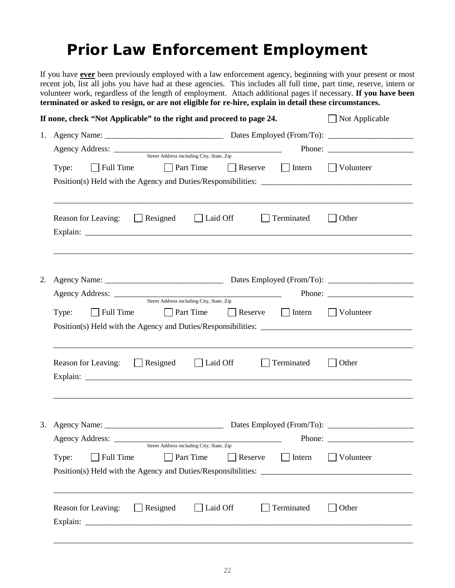### **Prior Law Enforcement Employment**

If you have **ever** been previously employed with a law enforcement agency, beginning with your present or most recent job, list all jobs you have had at these agencies. This includes all full time, part time, reserve, intern or volunteer work, regardless of the length of employment. Attach additional pages if necessary. **If you have been terminated or asked to resign, or are not eligible for re-hire, explain in detail these circumstances.** 

| If none, check "Not Applicable" to the right and proceed to page 24. | $\Box$ Not Applicable                     |                                                                                                                                                                                                                                                                                                                                                                                                              |
|----------------------------------------------------------------------|-------------------------------------------|--------------------------------------------------------------------------------------------------------------------------------------------------------------------------------------------------------------------------------------------------------------------------------------------------------------------------------------------------------------------------------------------------------------|
| 1.                                                                   |                                           |                                                                                                                                                                                                                                                                                                                                                                                                              |
| Agency Address: <u>Street Address including City, State, Zip</u>     |                                           | Phone: $\frac{1}{\sqrt{1-\frac{1}{2}}\sqrt{1-\frac{1}{2}}\sqrt{1-\frac{1}{2}}\sqrt{1-\frac{1}{2}}\sqrt{1-\frac{1}{2}}\sqrt{1-\frac{1}{2}}\sqrt{1-\frac{1}{2}}\sqrt{1-\frac{1}{2}}\sqrt{1-\frac{1}{2}}\sqrt{1-\frac{1}{2}}\sqrt{1-\frac{1}{2}}\sqrt{1-\frac{1}{2}}\sqrt{1-\frac{1}{2}}\sqrt{1-\frac{1}{2}}\sqrt{1-\frac{1}{2}}\sqrt{1-\frac{1}{2}}\sqrt{1-\frac{1}{2}}\sqrt{1-\frac{1}{2}}\sqrt{1-\frac{1}{2$ |
|                                                                      |                                           |                                                                                                                                                                                                                                                                                                                                                                                                              |
| $\Box$ Full Time<br><b>Part Time</b><br>Type:                        | $\Box$ Intern<br>Reserve                  | Volunteer                                                                                                                                                                                                                                                                                                                                                                                                    |
|                                                                      |                                           |                                                                                                                                                                                                                                                                                                                                                                                                              |
|                                                                      |                                           |                                                                                                                                                                                                                                                                                                                                                                                                              |
| Reason for Leaving: Resigned Laid Off                                | Terminated                                | $\Box$ Other                                                                                                                                                                                                                                                                                                                                                                                                 |
|                                                                      |                                           |                                                                                                                                                                                                                                                                                                                                                                                                              |
|                                                                      |                                           |                                                                                                                                                                                                                                                                                                                                                                                                              |
|                                                                      |                                           |                                                                                                                                                                                                                                                                                                                                                                                                              |
| 2.                                                                   |                                           |                                                                                                                                                                                                                                                                                                                                                                                                              |
|                                                                      |                                           | Phone: $\frac{1}{\sqrt{1-\frac{1}{2}}\sqrt{1-\frac{1}{2}}\sqrt{1-\frac{1}{2}}\sqrt{1-\frac{1}{2}}\sqrt{1-\frac{1}{2}}\sqrt{1-\frac{1}{2}}\sqrt{1-\frac{1}{2}}\sqrt{1-\frac{1}{2}}\sqrt{1-\frac{1}{2}}\sqrt{1-\frac{1}{2}}\sqrt{1-\frac{1}{2}}\sqrt{1-\frac{1}{2}}\sqrt{1-\frac{1}{2}}\sqrt{1-\frac{1}{2}}\sqrt{1-\frac{1}{2}}\sqrt{1-\frac{1}{2}}\sqrt{1-\frac{1}{2}}\sqrt{1-\frac{1}{2}}\sqrt{1-\frac{1}{2$ |
|                                                                      |                                           |                                                                                                                                                                                                                                                                                                                                                                                                              |
| Full Time<br>Type:                                                   | <b>Part Time</b> Reserve Intern Volunteer |                                                                                                                                                                                                                                                                                                                                                                                                              |
|                                                                      |                                           |                                                                                                                                                                                                                                                                                                                                                                                                              |
|                                                                      |                                           |                                                                                                                                                                                                                                                                                                                                                                                                              |
| Reason for Leaving: $\Box$ Resigned $\Box$ Laid Off                  | Terminated                                | Other                                                                                                                                                                                                                                                                                                                                                                                                        |
|                                                                      |                                           |                                                                                                                                                                                                                                                                                                                                                                                                              |
|                                                                      |                                           |                                                                                                                                                                                                                                                                                                                                                                                                              |
|                                                                      |                                           |                                                                                                                                                                                                                                                                                                                                                                                                              |
|                                                                      |                                           |                                                                                                                                                                                                                                                                                                                                                                                                              |
| 3.                                                                   |                                           |                                                                                                                                                                                                                                                                                                                                                                                                              |
| Street Address including City, State, Zip                            |                                           |                                                                                                                                                                                                                                                                                                                                                                                                              |
| $\Box$ Full Time<br>$\Box$ Part Time<br>Type:                        | $\Box$ Intern<br>$\Box$ Reserve           | $\exists$ Volunteer                                                                                                                                                                                                                                                                                                                                                                                          |
|                                                                      |                                           |                                                                                                                                                                                                                                                                                                                                                                                                              |
|                                                                      |                                           |                                                                                                                                                                                                                                                                                                                                                                                                              |
|                                                                      |                                           |                                                                                                                                                                                                                                                                                                                                                                                                              |
| $\Box$ Resigned<br>Reason for Leaving:                               | $\Box$ Laid Off<br>Terminated             | Other                                                                                                                                                                                                                                                                                                                                                                                                        |
|                                                                      |                                           |                                                                                                                                                                                                                                                                                                                                                                                                              |
|                                                                      |                                           |                                                                                                                                                                                                                                                                                                                                                                                                              |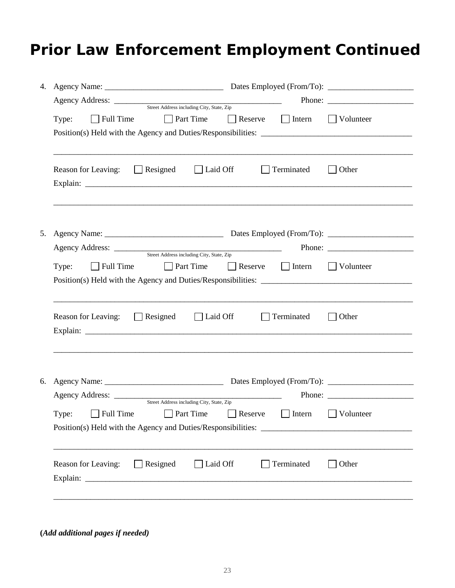## **Prior Law Enforcement Employment Continued**

|    | Agency Address: Street Address including City, State, Zip          |                              | Phone: $\frac{1}{\sqrt{1-\frac{1}{2}}\sqrt{1-\frac{1}{2}}\sqrt{1-\frac{1}{2}}\sqrt{1-\frac{1}{2}}\sqrt{1-\frac{1}{2}}\sqrt{1-\frac{1}{2}}\sqrt{1-\frac{1}{2}}\sqrt{1-\frac{1}{2}}\sqrt{1-\frac{1}{2}}\sqrt{1-\frac{1}{2}}\sqrt{1-\frac{1}{2}}\sqrt{1-\frac{1}{2}}\sqrt{1-\frac{1}{2}}\sqrt{1-\frac{1}{2}}\sqrt{1-\frac{1}{2}}\sqrt{1-\frac{1}{2}}\sqrt{1-\frac{1}{2}}\sqrt{1-\frac{1}{2}}\sqrt{1-\frac{1}{2$ |
|----|--------------------------------------------------------------------|------------------------------|--------------------------------------------------------------------------------------------------------------------------------------------------------------------------------------------------------------------------------------------------------------------------------------------------------------------------------------------------------------------------------------------------------------|
|    | Full Time Part Time Reserve Intern Volunteer<br>Type:              |                              |                                                                                                                                                                                                                                                                                                                                                                                                              |
|    | $\Box$ Laid Off<br>Resigned<br>Reason for Leaving:<br>$\mathbf{1}$ | Terminated                   | Other                                                                                                                                                                                                                                                                                                                                                                                                        |
| 5. |                                                                    |                              | Phone: $\frac{1}{\sqrt{1-\frac{1}{2}}\sqrt{1-\frac{1}{2}}\sqrt{1-\frac{1}{2}}\sqrt{1-\frac{1}{2}}\sqrt{1-\frac{1}{2}}\sqrt{1-\frac{1}{2}}\sqrt{1-\frac{1}{2}}\sqrt{1-\frac{1}{2}}\sqrt{1-\frac{1}{2}}\sqrt{1-\frac{1}{2}}\sqrt{1-\frac{1}{2}}\sqrt{1-\frac{1}{2}}\sqrt{1-\frac{1}{2}}\sqrt{1-\frac{1}{2}}\sqrt{1-\frac{1}{2}}\sqrt{1-\frac{1}{2}}\sqrt{1-\frac{1}{2}}\sqrt{1-\frac{1}{2}}\sqrt{1-\frac{1}{2$ |
|    | $\Box$ Full Time<br>$\Box$ Part Time<br>Type:                      | $\Box$ Reserve $\Box$ Intern | <b>Volunteer</b>                                                                                                                                                                                                                                                                                                                                                                                             |
|    | Reason for Leaving: $\Box$ Resigned $\Box$ Laid Off                | $\Box$ Terminated            | $\Box$ Other                                                                                                                                                                                                                                                                                                                                                                                                 |
| 6. | Type: □ Full Time □ Part Time □ Reserve □ Intern □ Volunteer       |                              | Phone: $\qquad \qquad$                                                                                                                                                                                                                                                                                                                                                                                       |
|    | $\Box$ Resigned<br>$\Box$ Laid Off<br>Reason for Leaving:          | Terminated                   | Other                                                                                                                                                                                                                                                                                                                                                                                                        |
|    |                                                                    |                              |                                                                                                                                                                                                                                                                                                                                                                                                              |

**(***Add additional pages if needed)*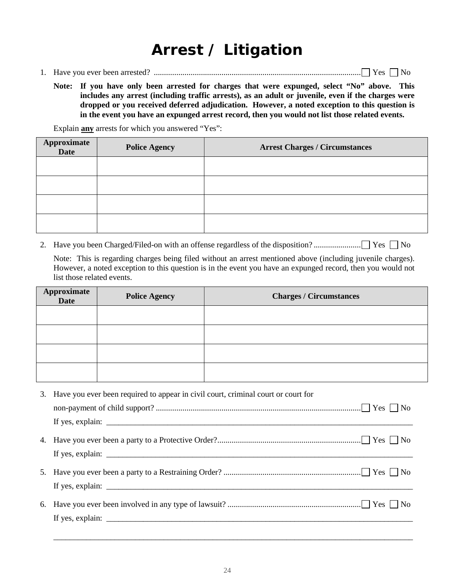## **Arrest / Litigation**

- 1. Have you ever been arrested? ..................................................................................................... Yes No
	- **Note: If you have only been arrested for charges that were expunged, select "No" above. This includes any arrest (including traffic arrests), as an adult or juvenile, even if the charges were dropped or you received deferred adjudication. However, a noted exception to this question is in the event you have an expunged arrest record, then you would not list those related events.**

Explain **any** arrests for which you answered "Yes":

| Approximate<br>Date | <b>Police Agency</b> | <b>Arrest Charges / Circumstances</b> |
|---------------------|----------------------|---------------------------------------|
|                     |                      |                                       |
|                     |                      |                                       |
|                     |                      |                                       |
|                     |                      |                                       |

2. Have you been Charged/Filed-on with an offense regardless of the disposition? ....................... Yes No

Note: This is regarding charges being filed without an arrest mentioned above (including juvenile charges). However, a noted exception to this question is in the event you have an expunged record, then you would not list those related events.

| <b>Approximate</b><br>Date | <b>Police Agency</b> | <b>Charges / Circumstances</b> |
|----------------------------|----------------------|--------------------------------|
|                            |                      |                                |
|                            |                      |                                |
|                            |                      |                                |
|                            |                      |                                |

| 3. Have you ever been required to appear in civil court, criminal court or court for |
|--------------------------------------------------------------------------------------|
|                                                                                      |
|                                                                                      |
|                                                                                      |
|                                                                                      |
|                                                                                      |
|                                                                                      |
|                                                                                      |
|                                                                                      |
|                                                                                      |

\_\_\_\_\_\_\_\_\_\_\_\_\_\_\_\_\_\_\_\_\_\_\_\_\_\_\_\_\_\_\_\_\_\_\_\_\_\_\_\_\_\_\_\_\_\_\_\_\_\_\_\_\_\_\_\_\_\_\_\_\_\_\_\_\_\_\_\_\_\_\_\_\_\_\_\_\_\_\_\_\_\_\_\_\_\_\_\_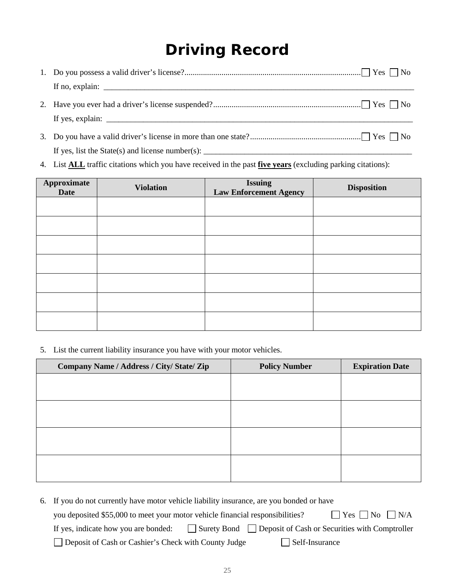## **Driving Record**

If yes, list the State(s) and license number(s):  $\frac{1}{\sqrt{1-\frac{1}{2}}}\left|\frac{1}{\sqrt{1-\frac{1}{2}}}\right|$ 

4. List **ALL** traffic citations which you have received in the past **five years** (excluding parking citations):

| Approximate<br><b>Date</b> | <b>Violation</b> | <b>Issuing</b><br><b>Law Enforcement Agency</b> | <b>Disposition</b> |
|----------------------------|------------------|-------------------------------------------------|--------------------|
|                            |                  |                                                 |                    |
|                            |                  |                                                 |                    |
|                            |                  |                                                 |                    |
|                            |                  |                                                 |                    |
|                            |                  |                                                 |                    |
|                            |                  |                                                 |                    |
|                            |                  |                                                 |                    |

5. List the current liability insurance you have with your motor vehicles.

| Company Name / Address / City/ State/ Zip | <b>Policy Number</b> | <b>Expiration Date</b> |
|-------------------------------------------|----------------------|------------------------|
|                                           |                      |                        |
|                                           |                      |                        |
|                                           |                      |                        |
|                                           |                      |                        |
|                                           |                      |                        |
|                                           |                      |                        |
|                                           |                      |                        |
|                                           |                      |                        |

| 6. If you do not currently have motor vehicle liability insurance, are you bonded or have                     |
|---------------------------------------------------------------------------------------------------------------|
| $ $ $ $ Yes $ $ No $ $ N/A<br>you deposited \$55,000 to meet your motor vehicle financial responsibilities?   |
| If yes, indicate how you are bonded: $\Box$ Surety Bond $\Box$ Deposit of Cash or Securities with Comptroller |
| Deposit of Cash or Cashier's Check with County Judge<br>Self-Insurance                                        |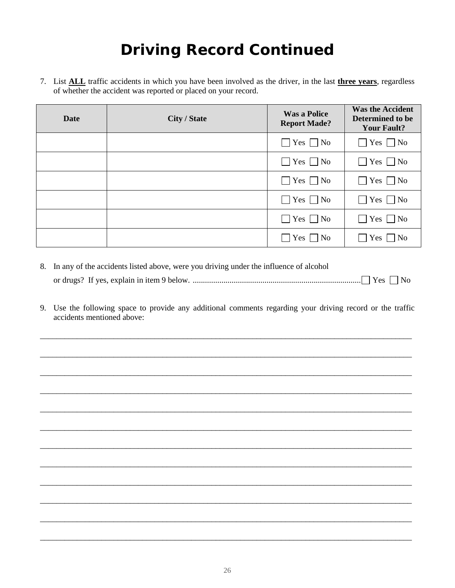## **Driving Record Continued**

7. List **ALL** traffic accidents in which you have been involved as the driver, in the last **three years**, regardless of whether the accident was reported or placed on your record.

| <b>Date</b> | <b>City / State</b> | <b>Was a Police</b><br><b>Report Made?</b> | <b>Was the Accident</b><br>Determined to be<br><b>Your Fault?</b> |
|-------------|---------------------|--------------------------------------------|-------------------------------------------------------------------|
|             |                     | $\Box$ Yes $\Box$ No                       | $\Box$ Yes $\Box$ No                                              |
|             |                     | $\Box$ Yes $\Box$ No                       | $\Box$ Yes $\Box$ No                                              |
|             |                     | $\Box$ Yes $\Box$ No                       | $\Box$ Yes $\Box$ No                                              |
|             |                     | $\Box$ Yes $\Box$ No                       | $\Box$ Yes $\Box$ No                                              |
|             |                     | $\Box$ Yes $\Box$ No                       | $\Box$ Yes $\Box$ No                                              |
|             |                     | $Yes \nightharpoonup No$                   | $\Box$ Yes $\Box$ No                                              |

- 8. In any of the accidents listed above, were you driving under the influence of alcohol or drugs? If yes, explain in item 9 below. .................................................................................. Yes No
- 9. Use the following space to provide any additional comments regarding your driving record or the traffic accidents mentioned above:

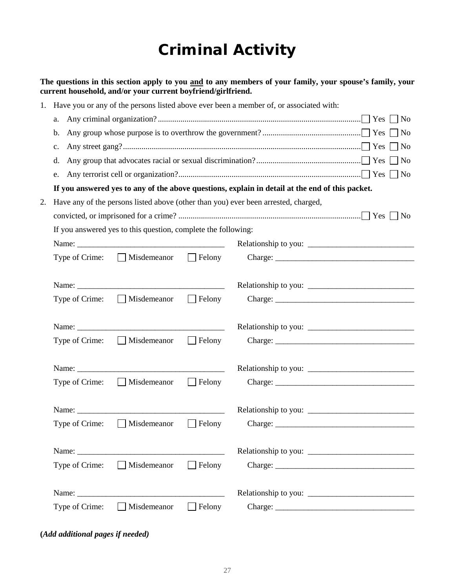## **Criminal Activity**

**The questions in this section apply to you and to any members of your family, your spouse's family, your current household, and/or your current boyfriend/girlfriend.**

| 1. | Have you or any of the persons listed above ever been a member of, or associated with:          |                      |  |
|----|-------------------------------------------------------------------------------------------------|----------------------|--|
|    | a.                                                                                              | $\vert$ No           |  |
|    | $\mathbf b$ .                                                                                   | $\overline{N}$       |  |
|    | $\mathbf{c}$ .                                                                                  | $\Box$ No            |  |
|    | d.                                                                                              | $\Box$ No            |  |
|    | e.                                                                                              |                      |  |
|    | If you answered yes to any of the above questions, explain in detail at the end of this packet. |                      |  |
| 2. | Have any of the persons listed above (other than you) ever been arrested, charged,              |                      |  |
|    |                                                                                                 |                      |  |
|    | If you answered yes to this question, complete the following:                                   |                      |  |
|    |                                                                                                 |                      |  |
|    |                                                                                                 |                      |  |
|    |                                                                                                 |                      |  |
|    |                                                                                                 |                      |  |
|    |                                                                                                 |                      |  |
|    |                                                                                                 |                      |  |
|    |                                                                                                 |                      |  |
|    | Misdemeanor Felony<br>Type of Crime:                                                            |                      |  |
|    |                                                                                                 |                      |  |
|    |                                                                                                 | Relationship to you: |  |
|    | Misdemeanor Felony<br>Type of Crime:                                                            |                      |  |
|    |                                                                                                 |                      |  |
|    |                                                                                                 |                      |  |
|    | Type of Crime:<br>$\Box$ Felony<br>Misdemeanor                                                  |                      |  |
|    |                                                                                                 |                      |  |
|    |                                                                                                 |                      |  |
|    | $\Box$ Misdemeanor $\Box$ Felony<br>Type of Crime:                                              |                      |  |
|    |                                                                                                 |                      |  |
|    |                                                                                                 |                      |  |
|    | $\Box$ Misdemeanor<br>$\Box$ Felony<br>Type of Crime:                                           |                      |  |

**(***Add additional pages if needed)*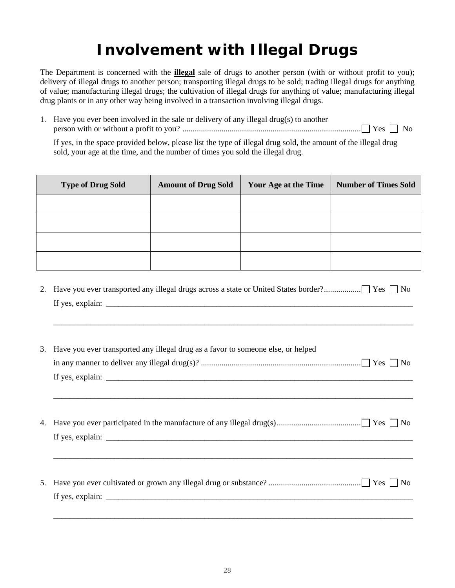## **Involvement with Illegal Drugs**

The Department is concerned with the **illegal** sale of drugs to another person (with or without profit to you); delivery of illegal drugs to another person; transporting illegal drugs to be sold; trading illegal drugs for anything of value; manufacturing illegal drugs; the cultivation of illegal drugs for anything of value; manufacturing illegal drug plants or in any other way being involved in a transaction involving illegal drugs.

1. Have you ever been involved in the sale or delivery of any illegal drug(s) to another person with or without a profit to you? ....................................................................................... Yes No

If yes, in the space provided below, please list the type of illegal drug sold, the amount of the illegal drug sold, your age at the time, and the number of times you sold the illegal drug.

| <b>Type of Drug Sold</b> | <b>Amount of Drug Sold</b> | Your Age at the Time | <b>Number of Times Sold</b> |
|--------------------------|----------------------------|----------------------|-----------------------------|
|                          |                            |                      |                             |
|                          |                            |                      |                             |
|                          |                            |                      |                             |
|                          |                            |                      |                             |

2. Have you ever transported any illegal drugs across a state or United States border? .................. Yes No If yes, explain:  $\Box$ 

\_\_\_\_\_\_\_\_\_\_\_\_\_\_\_\_\_\_\_\_\_\_\_\_\_\_\_\_\_\_\_\_\_\_\_\_\_\_\_\_\_\_\_\_\_\_\_\_\_\_\_\_\_\_\_\_\_\_\_\_\_\_\_\_\_\_\_\_\_\_\_\_\_\_\_\_\_\_\_\_\_\_\_\_\_\_\_\_

| 3. Have you ever transported any illegal drug as a favor to someone else, or helped |
|-------------------------------------------------------------------------------------|
|                                                                                     |
|                                                                                     |
|                                                                                     |
|                                                                                     |
|                                                                                     |
|                                                                                     |
|                                                                                     |
|                                                                                     |
|                                                                                     |
|                                                                                     |
|                                                                                     |
|                                                                                     |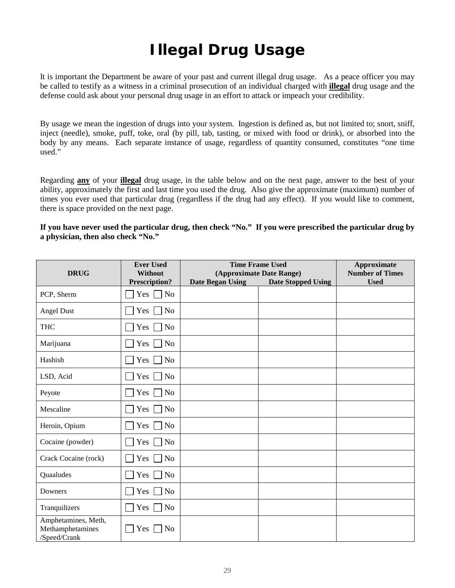# **Illegal Drug Usage**

It is important the Department be aware of your past and current illegal drug usage. As a peace officer you may be called to testify as a witness in a criminal prosecution of an individual charged with **illegal** drug usage and the defense could ask about your personal drug usage in an effort to attack or impeach your credibility.

By usage we mean the ingestion of drugs into your system. Ingestion is defined as, but not limited to; snort, sniff, inject (needle), smoke, puff, toke, oral (by pill, tab, tasting, or mixed with food or drink), or absorbed into the body by any means. Each separate instance of usage, regardless of quantity consumed, constitutes "one time used."

Regarding **any** of your **illegal** drug usage, in the table below and on the next page, answer to the best of your ability, approximately the first and last time you used the drug. Also give the approximate (maximum) number of times you ever used that particular drug (regardless if the drug had any effect). If you would like to comment, there is space provided on the next page.

| If you have never used the particular drug, then check "No." If you were prescribed the particular drug by |  |
|------------------------------------------------------------------------------------------------------------|--|
| a physician, then also check "No."                                                                         |  |

|                                                         | <b>Ever Used</b>                | <b>Time Frame Used</b>                                                           |  | <b>Approximate</b>                    |
|---------------------------------------------------------|---------------------------------|----------------------------------------------------------------------------------|--|---------------------------------------|
| <b>DRUG</b>                                             | Without<br><b>Prescription?</b> | (Approximate Date Range)<br><b>Date Began Using</b><br><b>Date Stopped Using</b> |  | <b>Number of Times</b><br><b>Used</b> |
| PCP, Sherm                                              | $Yes \Box No$                   |                                                                                  |  |                                       |
| Angel Dust                                              | $Yes \Box No$                   |                                                                                  |  |                                       |
| <b>THC</b>                                              | No<br>$Yes \Box$                |                                                                                  |  |                                       |
| Marijuana                                               | $Yes \Box No$                   |                                                                                  |  |                                       |
| Hashish                                                 | No<br>Yes $\Box$                |                                                                                  |  |                                       |
| LSD, Acid                                               | Yes $\Box$<br><b>No</b>         |                                                                                  |  |                                       |
| Peyote                                                  | $Yes \Box No$                   |                                                                                  |  |                                       |
| Mescaline                                               | Yes  <br>N <sub>o</sub>         |                                                                                  |  |                                       |
| Heroin, Opium                                           | No<br>Yes $\Box$                |                                                                                  |  |                                       |
| Cocaine (powder)                                        | No<br>$Yes \Box$                |                                                                                  |  |                                       |
| Crack Cocaine (rock)                                    | Yes $\Gamma$<br>N <sub>0</sub>  |                                                                                  |  |                                       |
| Quaaludes                                               | N <sub>o</sub><br>Yes $\Box$    |                                                                                  |  |                                       |
| Downers                                                 | Yes $\Box$<br>No                |                                                                                  |  |                                       |
| Tranquilizers                                           | Yes $\Box$<br>N <sub>0</sub>    |                                                                                  |  |                                       |
| Amphetamines, Meth,<br>Methamphetamines<br>/Speed/Crank | $Yes \Box$<br>N <sub>o</sub>    |                                                                                  |  |                                       |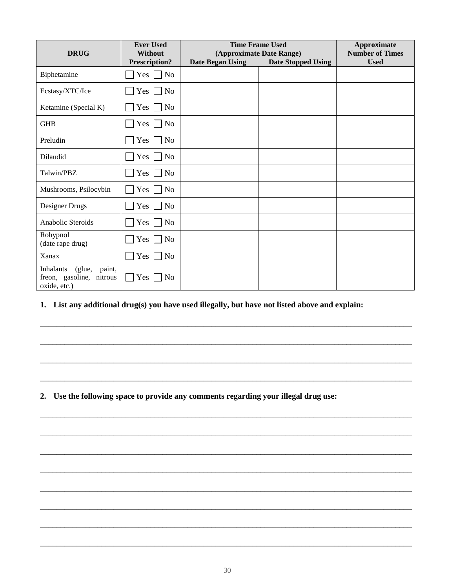| <b>DRUG</b>                                                               | <b>Ever Used</b><br><b>Without</b><br><b>Prescription?</b> | <b>Time Frame Used</b><br>(Approximate Date Range)<br><b>Date Began Using</b><br><b>Date Stopped Using</b> |  | Approximate<br><b>Number of Times</b><br><b>Used</b> |
|---------------------------------------------------------------------------|------------------------------------------------------------|------------------------------------------------------------------------------------------------------------|--|------------------------------------------------------|
| Biphetamine                                                               | Yes $\Box$<br>No                                           |                                                                                                            |  |                                                      |
| Ecstasy/XTC/Ice                                                           | $Yes \mid$<br>No                                           |                                                                                                            |  |                                                      |
| Ketamine (Special K)                                                      | Yes<br>No                                                  |                                                                                                            |  |                                                      |
| <b>GHB</b>                                                                | Yes [<br>No                                                |                                                                                                            |  |                                                      |
| Preludin                                                                  | Yes $\Box$<br>No                                           |                                                                                                            |  |                                                      |
| Dilaudid                                                                  | No<br>Yes $\Box$                                           |                                                                                                            |  |                                                      |
| Talwin/PBZ                                                                | No<br>$Yes \mid$                                           |                                                                                                            |  |                                                      |
| Mushrooms, Psilocybin                                                     | Yes $\lceil$<br>No                                         |                                                                                                            |  |                                                      |
| Designer Drugs                                                            | Yes [<br>No                                                |                                                                                                            |  |                                                      |
| Anabolic Steroids                                                         | $Yes \vert$<br>No                                          |                                                                                                            |  |                                                      |
| Rohypnol<br>(date rape drug)                                              | $Yes \vert$<br>No                                          |                                                                                                            |  |                                                      |
| Xanax                                                                     | Yes  <br>N <sub>0</sub><br>$\mathbf{L}$                    |                                                                                                            |  |                                                      |
| Inhalants<br>paint,<br>(glue,<br>freon, gasoline, nitrous<br>oxide, etc.) | $\Box$ Yes $\Box$<br>N <sub>o</sub>                        |                                                                                                            |  |                                                      |

#### **1. List any additional drug(s) you have used illegally, but have not listed above and explain:**

\_\_\_\_\_\_\_\_\_\_\_\_\_\_\_\_\_\_\_\_\_\_\_\_\_\_\_\_\_\_\_\_\_\_\_\_\_\_\_\_\_\_\_\_\_\_\_\_\_\_\_\_\_\_\_\_\_\_\_\_\_\_\_\_\_\_\_\_\_\_\_\_\_\_\_\_\_\_\_\_\_\_\_\_\_\_\_\_\_\_\_

\_\_\_\_\_\_\_\_\_\_\_\_\_\_\_\_\_\_\_\_\_\_\_\_\_\_\_\_\_\_\_\_\_\_\_\_\_\_\_\_\_\_\_\_\_\_\_\_\_\_\_\_\_\_\_\_\_\_\_\_\_\_\_\_\_\_\_\_\_\_\_\_\_\_\_\_\_\_\_\_\_\_\_\_\_\_\_\_\_\_\_

\_\_\_\_\_\_\_\_\_\_\_\_\_\_\_\_\_\_\_\_\_\_\_\_\_\_\_\_\_\_\_\_\_\_\_\_\_\_\_\_\_\_\_\_\_\_\_\_\_\_\_\_\_\_\_\_\_\_\_\_\_\_\_\_\_\_\_\_\_\_\_\_\_\_\_\_\_\_\_\_\_\_\_\_\_\_\_\_\_\_\_

\_\_\_\_\_\_\_\_\_\_\_\_\_\_\_\_\_\_\_\_\_\_\_\_\_\_\_\_\_\_\_\_\_\_\_\_\_\_\_\_\_\_\_\_\_\_\_\_\_\_\_\_\_\_\_\_\_\_\_\_\_\_\_\_\_\_\_\_\_\_\_\_\_\_\_\_\_\_\_\_\_\_\_\_\_\_\_\_\_\_\_

\_\_\_\_\_\_\_\_\_\_\_\_\_\_\_\_\_\_\_\_\_\_\_\_\_\_\_\_\_\_\_\_\_\_\_\_\_\_\_\_\_\_\_\_\_\_\_\_\_\_\_\_\_\_\_\_\_\_\_\_\_\_\_\_\_\_\_\_\_\_\_\_\_\_\_\_\_\_\_\_\_\_\_\_\_\_\_\_\_\_\_

\_\_\_\_\_\_\_\_\_\_\_\_\_\_\_\_\_\_\_\_\_\_\_\_\_\_\_\_\_\_\_\_\_\_\_\_\_\_\_\_\_\_\_\_\_\_\_\_\_\_\_\_\_\_\_\_\_\_\_\_\_\_\_\_\_\_\_\_\_\_\_\_\_\_\_\_\_\_\_\_\_\_\_\_\_\_\_\_\_\_\_

\_\_\_\_\_\_\_\_\_\_\_\_\_\_\_\_\_\_\_\_\_\_\_\_\_\_\_\_\_\_\_\_\_\_\_\_\_\_\_\_\_\_\_\_\_\_\_\_\_\_\_\_\_\_\_\_\_\_\_\_\_\_\_\_\_\_\_\_\_\_\_\_\_\_\_\_\_\_\_\_\_\_\_\_\_\_\_\_\_\_\_

\_\_\_\_\_\_\_\_\_\_\_\_\_\_\_\_\_\_\_\_\_\_\_\_\_\_\_\_\_\_\_\_\_\_\_\_\_\_\_\_\_\_\_\_\_\_\_\_\_\_\_\_\_\_\_\_\_\_\_\_\_\_\_\_\_\_\_\_\_\_\_\_\_\_\_\_\_\_\_\_\_\_\_\_\_\_\_\_\_\_\_

\_\_\_\_\_\_\_\_\_\_\_\_\_\_\_\_\_\_\_\_\_\_\_\_\_\_\_\_\_\_\_\_\_\_\_\_\_\_\_\_\_\_\_\_\_\_\_\_\_\_\_\_\_\_\_\_\_\_\_\_\_\_\_\_\_\_\_\_\_\_\_\_\_\_\_\_\_\_\_\_\_\_\_\_\_\_\_\_\_\_\_

\_\_\_\_\_\_\_\_\_\_\_\_\_\_\_\_\_\_\_\_\_\_\_\_\_\_\_\_\_\_\_\_\_\_\_\_\_\_\_\_\_\_\_\_\_\_\_\_\_\_\_\_\_\_\_\_\_\_\_\_\_\_\_\_\_\_\_\_\_\_\_\_\_\_\_\_\_\_\_\_\_\_\_\_\_\_\_\_\_\_\_

\_\_\_\_\_\_\_\_\_\_\_\_\_\_\_\_\_\_\_\_\_\_\_\_\_\_\_\_\_\_\_\_\_\_\_\_\_\_\_\_\_\_\_\_\_\_\_\_\_\_\_\_\_\_\_\_\_\_\_\_\_\_\_\_\_\_\_\_\_\_\_\_\_\_\_\_\_\_\_\_\_\_\_\_\_\_\_\_\_\_\_

\_\_\_\_\_\_\_\_\_\_\_\_\_\_\_\_\_\_\_\_\_\_\_\_\_\_\_\_\_\_\_\_\_\_\_\_\_\_\_\_\_\_\_\_\_\_\_\_\_\_\_\_\_\_\_\_\_\_\_\_\_\_\_\_\_\_\_\_\_\_\_\_\_\_\_\_\_\_\_\_\_\_\_\_\_\_\_\_\_\_\_

**2. Use the following space to provide any comments regarding your illegal drug use:**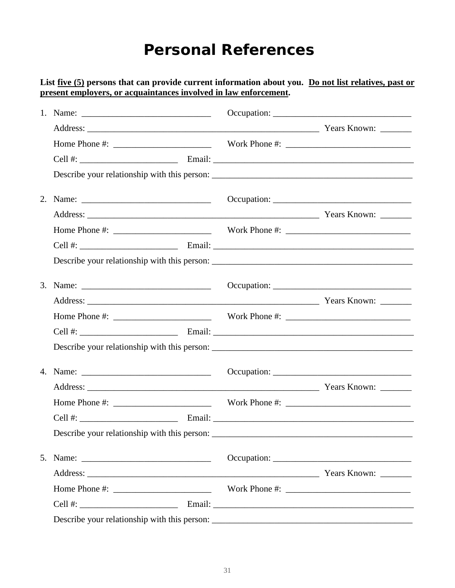#### **Personal References**

#### List <u>five (5)</u> persons that can provide current information about you. Do not list relatives, past or **present employers, or acquaintances involved in law enforcement.**

| Home Phone #: Work Phone #:                                                                                                                                                                                                                                                                                        |             |
|--------------------------------------------------------------------------------------------------------------------------------------------------------------------------------------------------------------------------------------------------------------------------------------------------------------------|-------------|
|                                                                                                                                                                                                                                                                                                                    |             |
|                                                                                                                                                                                                                                                                                                                    |             |
|                                                                                                                                                                                                                                                                                                                    | Occupation: |
|                                                                                                                                                                                                                                                                                                                    |             |
|                                                                                                                                                                                                                                                                                                                    |             |
|                                                                                                                                                                                                                                                                                                                    |             |
|                                                                                                                                                                                                                                                                                                                    |             |
| 5. Name: $\frac{1}{2}$                                                                                                                                                                                                                                                                                             |             |
|                                                                                                                                                                                                                                                                                                                    |             |
| Home Phone #: $\frac{1}{2}$ $\frac{1}{2}$ $\frac{1}{2}$ $\frac{1}{2}$ $\frac{1}{2}$ $\frac{1}{2}$ $\frac{1}{2}$ $\frac{1}{2}$ $\frac{1}{2}$ $\frac{1}{2}$ $\frac{1}{2}$ $\frac{1}{2}$ $\frac{1}{2}$ $\frac{1}{2}$ $\frac{1}{2}$ $\frac{1}{2}$ $\frac{1}{2}$ $\frac{1}{2}$ $\frac{1}{2}$ $\frac{1}{2}$ $\frac{1}{2$ |             |
|                                                                                                                                                                                                                                                                                                                    |             |
|                                                                                                                                                                                                                                                                                                                    |             |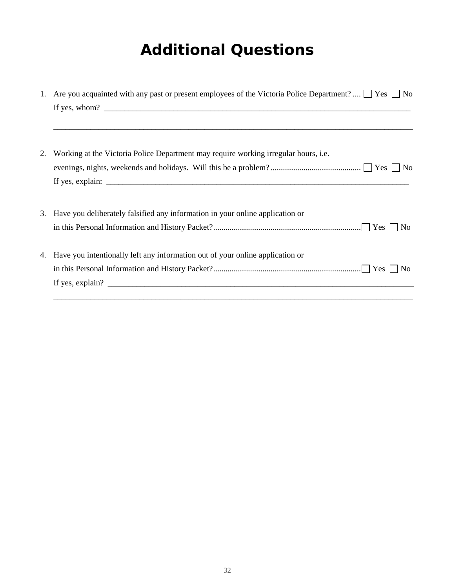## **Additional Questions**

| 1. | Are you acquainted with any past or present employees of the Victoria Police Department? $\Box$ Yes $\Box$ No                                                                                                                                                                                                                                                                                           |
|----|---------------------------------------------------------------------------------------------------------------------------------------------------------------------------------------------------------------------------------------------------------------------------------------------------------------------------------------------------------------------------------------------------------|
|    | If yes, whom? $\frac{1}{\sqrt{1-\frac{1}{2}}\sqrt{1-\frac{1}{2}}\sqrt{1-\frac{1}{2}}\sqrt{1-\frac{1}{2}}\sqrt{1-\frac{1}{2}}\sqrt{1-\frac{1}{2}}\sqrt{1-\frac{1}{2}}\sqrt{1-\frac{1}{2}}\sqrt{1-\frac{1}{2}}\sqrt{1-\frac{1}{2}}\sqrt{1-\frac{1}{2}}\sqrt{1-\frac{1}{2}}\sqrt{1-\frac{1}{2}}\sqrt{1-\frac{1}{2}}\sqrt{1-\frac{1}{2}}\sqrt{1-\frac{1}{2}}\sqrt{1-\frac{1}{2}}\sqrt{1-\frac{1}{2}}\sqrt{$ |
|    |                                                                                                                                                                                                                                                                                                                                                                                                         |
|    |                                                                                                                                                                                                                                                                                                                                                                                                         |
| 2. | Working at the Victoria Police Department may require working irregular hours, i.e.                                                                                                                                                                                                                                                                                                                     |
|    |                                                                                                                                                                                                                                                                                                                                                                                                         |
|    | If yes, explain: $\sqrt{\frac{1}{2} \sum_{r=1}^{r} (r - 1)^r}$                                                                                                                                                                                                                                                                                                                                          |
|    |                                                                                                                                                                                                                                                                                                                                                                                                         |
|    | 3. Have you deliberately falsified any information in your online application or                                                                                                                                                                                                                                                                                                                        |
|    |                                                                                                                                                                                                                                                                                                                                                                                                         |
|    |                                                                                                                                                                                                                                                                                                                                                                                                         |
| 4. | Have you intentionally left any information out of your online application or                                                                                                                                                                                                                                                                                                                           |
|    |                                                                                                                                                                                                                                                                                                                                                                                                         |
|    |                                                                                                                                                                                                                                                                                                                                                                                                         |
|    |                                                                                                                                                                                                                                                                                                                                                                                                         |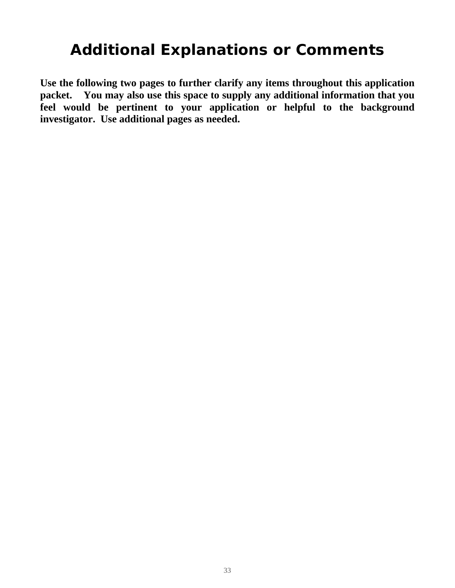## **Additional Explanations or Comments**

**Use the following two pages to further clarify any items throughout this application packet. You may also use this space to supply any additional information that you feel would be pertinent to your application or helpful to the background investigator. Use additional pages as needed.**